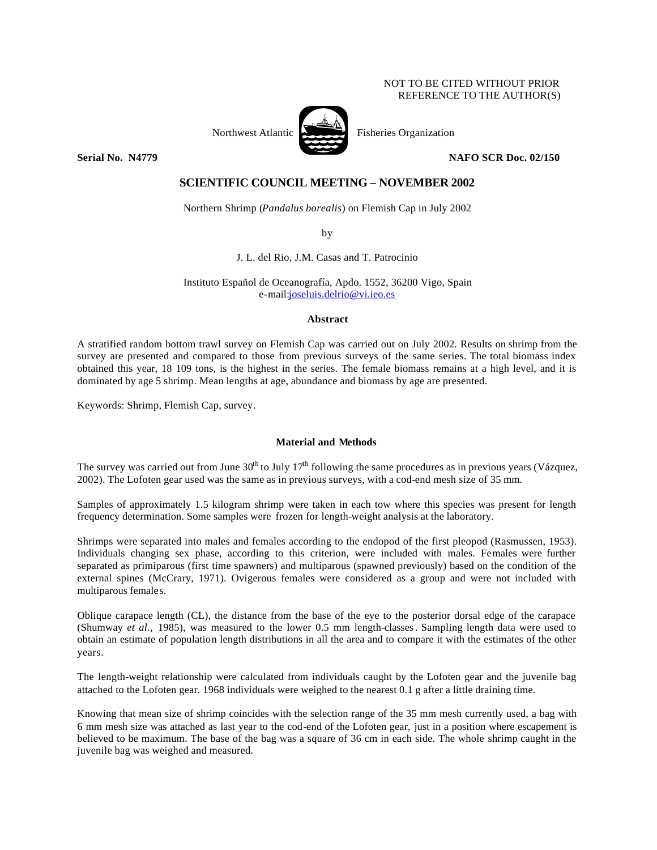## NOT TO BE CITED WITHOUT PRIOR REFERENCE TO THE AUTHOR(S)



**Serial No. N4779 NAFO SCR Doc. 02/150**

# **SCIENTIFIC COUNCIL MEETING – NOVEMBER 2002**

Northern Shrimp (*Pandalus borealis*) on Flemish Cap in July 2002

by

J. L. del Rio, J.M. Casas and T. Patrocinio

Instituto Español de Oceanografía, Apdo. 1552, 36200 Vigo, Spain e-mail:joseluis.delrio@vi.ieo.es

## **Abstract**

A stratified random bottom trawl survey on Flemish Cap was carried out on July 2002. Results on shrimp from the survey are presented and compared to those from previous surveys of the same series. The total biomass index obtained this year, 18 109 tons, is the highest in the series. The female biomass remains at a high level, and it is dominated by age 5 shrimp. Mean lengths at age, abundance and biomass by age are presented.

Keywords: Shrimp, Flemish Cap, survey.

## **Material and Methods**

The survey was carried out from June  $30^{th}$  to July  $17^{th}$  following the same procedures as in previous years (Vázquez, 2002). The Lofoten gear used was the same as in previous surveys, with a cod-end mesh size of 35 mm.

Samples of approximately 1.5 kilogram shrimp were taken in each tow where this species was present for length frequency determination. Some samples were frozen for length-weight analysis at the laboratory.

Shrimps were separated into males and females according to the endopod of the first pleopod (Rasmussen, 1953). Individuals changing sex phase, according to this criterion, were included with males. Females were further separated as primiparous (first time spawners) and multiparous (spawned previously) based on the condition of the external spines (McCrary, 1971). Ovigerous females were considered as a group and were not included with multiparous females.

Oblique carapace length (CL), the distance from the base of the eye to the posterior dorsal edge of the carapace (Shumway *et al.,* 1985), was measured to the lower 0.5 mm length-classes. Sampling length data were used to obtain an estimate of population length distributions in all the area and to compare it with the estimates of the other years.

The length-weight relationship were calculated from individuals caught by the Lofoten gear and the juvenile bag attached to the Lofoten gear. 1968 individuals were weighed to the nearest 0.1 g after a little draining time.

Knowing that mean size of shrimp coincides with the selection range of the 35 mm mesh currently used, a bag with 6 mm mesh size was attached as last year to the cod-end of the Lofoten gear, just in a position where escapement is believed to be maximum. The base of the bag was a square of 36 cm in each side. The whole shrimp caught in the juvenile bag was weighed and measured.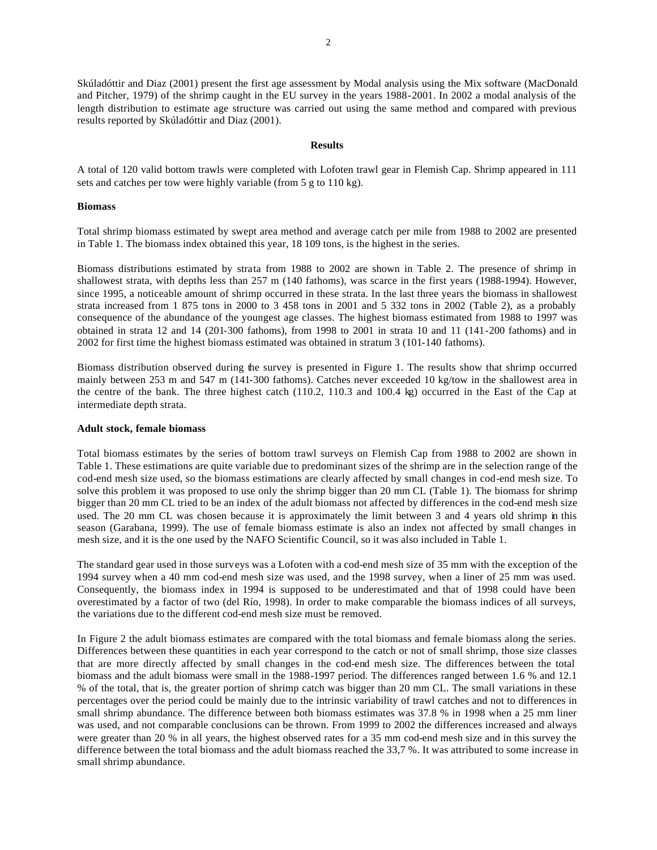Skúladóttir and Diaz (2001) present the first age assessment by Modal analysis using the Mix software (MacDonald and Pitcher, 1979) of the shrimp caught in the EU survey in the years 1988-2001. In 2002 a modal analysis of the length distribution to estimate age structure was carried out using the same method and compared with previous results reported by Skúladóttir and Diaz (2001).

#### **Results**

A total of 120 valid bottom trawls were completed with Lofoten trawl gear in Flemish Cap. Shrimp appeared in 111 sets and catches per tow were highly variable (from 5 g to 110 kg).

#### **Biomass**

Total shrimp biomass estimated by swept area method and average catch per mile from 1988 to 2002 are presented in Table 1. The biomass index obtained this year, 18 109 tons, is the highest in the series.

Biomass distributions estimated by strata from 1988 to 2002 are shown in Table 2. The presence of shrimp in shallowest strata, with depths less than 257 m (140 fathoms), was scarce in the first years (1988-1994). However, since 1995, a noticeable amount of shrimp occurred in these strata. In the last three years the biomass in shallowest strata increased from 1 875 tons in 2000 to 3 458 tons in 2001 and 5 332 tons in 2002 (Table 2), as a probably consequence of the abundance of the youngest age classes. The highest biomass estimated from 1988 to 1997 was obtained in strata 12 and 14 (201-300 fathoms), from 1998 to 2001 in strata 10 and 11 (141-200 fathoms) and in 2002 for first time the highest biomass estimated was obtained in stratum 3 (101-140 fathoms).

Biomass distribution observed during the survey is presented in Figure 1. The results show that shrimp occurred mainly between 253 m and 547 m (141-300 fathoms). Catches never exceeded 10 kg/tow in the shallowest area in the centre of the bank. The three highest catch (110.2, 110.3 and 100.4 kg) occurred in the East of the Cap at intermediate depth strata.

#### **Adult stock, female biomass**

Total biomass estimates by the series of bottom trawl surveys on Flemish Cap from 1988 to 2002 are shown in Table 1. These estimations are quite variable due to predominant sizes of the shrimp are in the selection range of the cod-end mesh size used, so the biomass estimations are clearly affected by small changes in cod-end mesh size. To solve this problem it was proposed to use only the shrimp bigger than 20 mm CL (Table 1). The biomass for shrimp bigger than 20 mm CL tried to be an index of the adult biomass not affected by differences in the cod-end mesh size used. The 20 mm CL was chosen because it is approximately the limit between 3 and 4 years old shrimp in this season (Garabana, 1999). The use of female biomass estimate is also an index not affected by small changes in mesh size, and it is the one used by the NAFO Scientific Council, so it was also included in Table 1.

The standard gear used in those surveys was a Lofoten with a cod-end mesh size of 35 mm with the exception of the 1994 survey when a 40 mm cod-end mesh size was used, and the 1998 survey, when a liner of 25 mm was used. Consequently, the biomass index in 1994 is supposed to be underestimated and that of 1998 could have been overestimated by a factor of two (del Río, 1998). In order to make comparable the biomass indices of all surveys, the variations due to the different cod-end mesh size must be removed.

In Figure 2 the adult biomass estimates are compared with the total biomass and female biomass along the series. Differences between these quantities in each year correspond to the catch or not of small shrimp, those size classes that are more directly affected by small changes in the cod-end mesh size. The differences between the total biomass and the adult biomass were small in the 1988-1997 period. The differences ranged between 1.6 % and 12.1 % of the total, that is, the greater portion of shrimp catch was bigger than 20 mm CL. The small variations in these percentages over the period could be mainly due to the intrinsic variability of trawl catches and not to differences in small shrimp abundance. The difference between both biomass estimates was 37.8 % in 1998 when a 25 mm liner was used, and not comparable conclusions can be thrown. From 1999 to 2002 the differences increased and always were greater than 20 % in all years, the highest observed rates for a 35 mm cod-end mesh size and in this survey the difference between the total biomass and the adult biomass reached the 33,7 %. It was attributed to some increase in small shrimp abundance.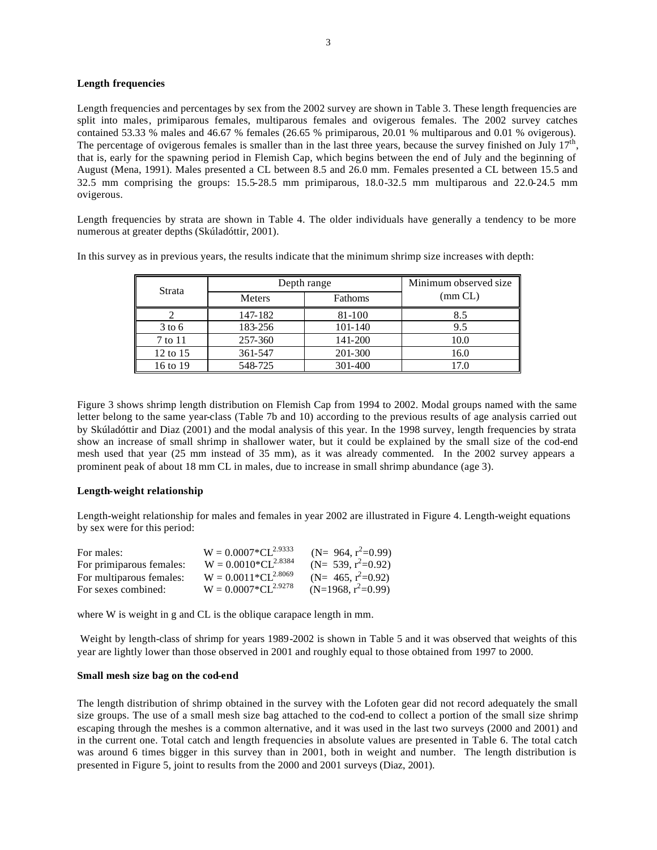### **Length frequencies**

Length frequencies and percentages by sex from the 2002 survey are shown in Table 3. These length frequencies are split into males, primiparous females, multiparous females and ovigerous females. The 2002 survey catches contained 53.33 % males and 46.67 % females (26.65 % primiparous, 20.01 % multiparous and 0.01 % ovigerous). The percentage of ovigerous females is smaller than in the last three years, because the survey finished on July  $17<sup>th</sup>$ , that is, early for the spawning period in Flemish Cap, which begins between the end of July and the beginning of August (Mena, 1991). Males presented a CL between 8.5 and 26.0 mm. Females presented a CL between 15.5 and 32.5 mm comprising the groups: 15.5-28.5 mm primiparous, 18.0-32.5 mm multiparous and 22.0-24.5 mm ovigerous.

Length frequencies by strata are shown in Table 4. The older individuals have generally a tendency to be more numerous at greater depths (Skúladóttir, 2001).

In this survey as in previous years, the results indicate that the minimum shrimp size increases with depth:

| Strata   |         | Depth range |         |  |  |  |  |
|----------|---------|-------------|---------|--|--|--|--|
|          | Meters  | Fathoms     | (mm CL) |  |  |  |  |
|          | 147-182 | 81-100      | 8.5     |  |  |  |  |
| $3$ to 6 | 183-256 | 101-140     | 9.5     |  |  |  |  |
| 7 to 11  | 257-360 | 141-200     | 10.0    |  |  |  |  |
| 12 to 15 | 361-547 | 201-300     | 16.0    |  |  |  |  |
| 16 to 19 | 548-725 | 301-400     |         |  |  |  |  |

Figure 3 shows shrimp length distribution on Flemish Cap from 1994 to 2002. Modal groups named with the same letter belong to the same year-class (Table 7b and 10) according to the previous results of age analysis carried out by Skúladóttir and Diaz (2001) and the modal analysis of this year. In the 1998 survey, length frequencies by strata show an increase of small shrimp in shallower water, but it could be explained by the small size of the cod-end mesh used that year (25 mm instead of 35 mm), as it was already commented. In the 2002 survey appears a prominent peak of about 18 mm CL in males, due to increase in small shrimp abundance (age 3).

## **Length-weight relationship**

Length-weight relationship for males and females in year 2002 are illustrated in Figure 4. Length-weight equations by sex were for this period:

| For males:               | $W = 0.0007 \times CL^{2.9333}$ | (N= 964, $r^2=0.99$ ) |
|--------------------------|---------------------------------|-----------------------|
| For primiparous females: | $W = 0.0010 * CL^{2.8384}$      | (N= 539, $r^2$ =0.92) |
| For multiparous females: | $W = 0.0011 * CL^{2.8069}$      | (N= 465, $r^2=0.92$ ) |
| For sexes combined:      | $W = 0.0007 \times CL^{2.9278}$ | $(N=1968, r^2=0.99)$  |

where W is weight in g and CL is the oblique carapace length in mm.

 Weight by length-class of shrimp for years 1989-2002 is shown in Table 5 and it was observed that weights of this year are lightly lower than those observed in 2001 and roughly equal to those obtained from 1997 to 2000.

### **Small mesh size bag on the cod-end**

The length distribution of shrimp obtained in the survey with the Lofoten gear did not record adequately the small size groups. The use of a small mesh size bag attached to the cod-end to collect a portion of the small size shrimp escaping through the meshes is a common alternative, and it was used in the last two surveys (2000 and 2001) and in the current one. Total catch and length frequencies in absolute values are presented in Table 6. The total catch was around 6 times bigger in this survey than in 2001, both in weight and number. The length distribution is presented in Figure 5, joint to results from the 2000 and 2001 surveys (Diaz, 2001).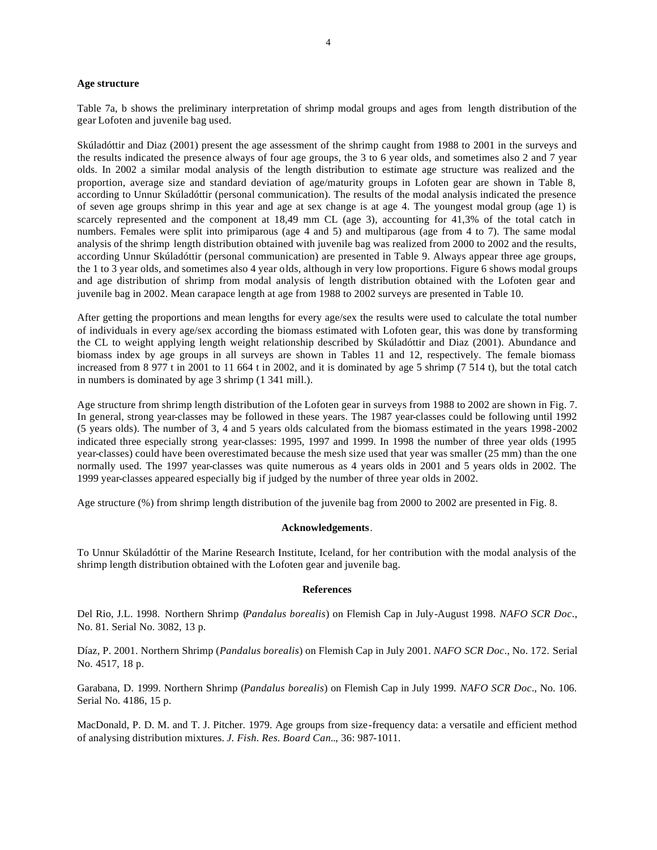#### **Age structure**

Table 7a, b shows the preliminary interpretation of shrimp modal groups and ages from length distribution of the gear Lofoten and juvenile bag used.

Skúladóttir and Diaz (2001) present the age assessment of the shrimp caught from 1988 to 2001 in the surveys and the results indicated the presence always of four age groups, the 3 to 6 year olds, and sometimes also 2 and 7 year olds. In 2002 a similar modal analysis of the length distribution to estimate age structure was realized and the proportion, average size and standard deviation of age/maturity groups in Lofoten gear are shown in Table 8, according to Unnur Skúladóttir (personal communication). The results of the modal analysis indicated the presence of seven age groups shrimp in this year and age at sex change is at age 4. The youngest modal group (age 1) is scarcely represented and the component at 18,49 mm CL (age 3), accounting for 41,3% of the total catch in numbers. Females were split into primiparous (age 4 and 5) and multiparous (age from 4 to 7). The same modal analysis of the shrimp length distribution obtained with juvenile bag was realized from 2000 to 2002 and the results, according Unnur Skúladóttir (personal communication) are presented in Table 9. Always appear three age groups, the 1 to 3 year olds, and sometimes also 4 year olds, although in very low proportions. Figure 6 shows modal groups and age distribution of shrimp from modal analysis of length distribution obtained with the Lofoten gear and juvenile bag in 2002. Mean carapace length at age from 1988 to 2002 surveys are presented in Table 10.

After getting the proportions and mean lengths for every age/sex the results were used to calculate the total number of individuals in every age/sex according the biomass estimated with Lofoten gear, this was done by transforming the CL to weight applying length weight relationship described by Skúladóttir and Diaz (2001). Abundance and biomass index by age groups in all surveys are shown in Tables 11 and 12, respectively. The female biomass increased from 8 977 t in 2001 to 11 664 t in 2002, and it is dominated by age 5 shrimp (7 514 t), but the total catch in numbers is dominated by age 3 shrimp (1 341 mill.).

Age structure from shrimp length distribution of the Lofoten gear in surveys from 1988 to 2002 are shown in Fig. 7. In general, strong year-classes may be followed in these years. The 1987 year-classes could be following until 1992 (5 years olds). The number of 3, 4 and 5 years olds calculated from the biomass estimated in the years 1998-2002 indicated three especially strong year-classes: 1995, 1997 and 1999. In 1998 the number of three year olds (1995 year-classes) could have been overestimated because the mesh size used that year was smaller (25 mm) than the one normally used. The 1997 year-classes was quite numerous as 4 years olds in 2001 and 5 years olds in 2002. The 1999 year-classes appeared especially big if judged by the number of three year olds in 2002.

Age structure (%) from shrimp length distribution of the juvenile bag from 2000 to 2002 are presented in Fig. 8.

#### **Acknowledgements**.

To Unnur Skúladóttir of the Marine Research Institute, Iceland, for her contribution with the modal analysis of the shrimp length distribution obtained with the Lofoten gear and juvenile bag.

## **References**

Del Rio, J.L. 1998. Northern Shrimp (*Pandalus borealis*) on Flemish Cap in July-August 1998. *NAFO SCR Doc*., No. 81. Serial No. 3082, 13 p.

Díaz, P. 2001. Northern Shrimp (*Pandalus borealis*) on Flemish Cap in July 2001. *NAFO SCR Doc*., No. 172. Serial No. 4517, 18 p.

Garabana, D. 1999. Northern Shrimp (*Pandalus borealis*) on Flemish Cap in July 1999. *NAFO SCR Doc*., No. 106. Serial No. 4186, 15 p.

MacDonald, P. D. M. and T. J. Pitcher. 1979. Age groups from size-frequency data: a versatile and efficient method of analysing distribution mixtures. *J. Fish. Res. Board Can.*., 36: 987-1011.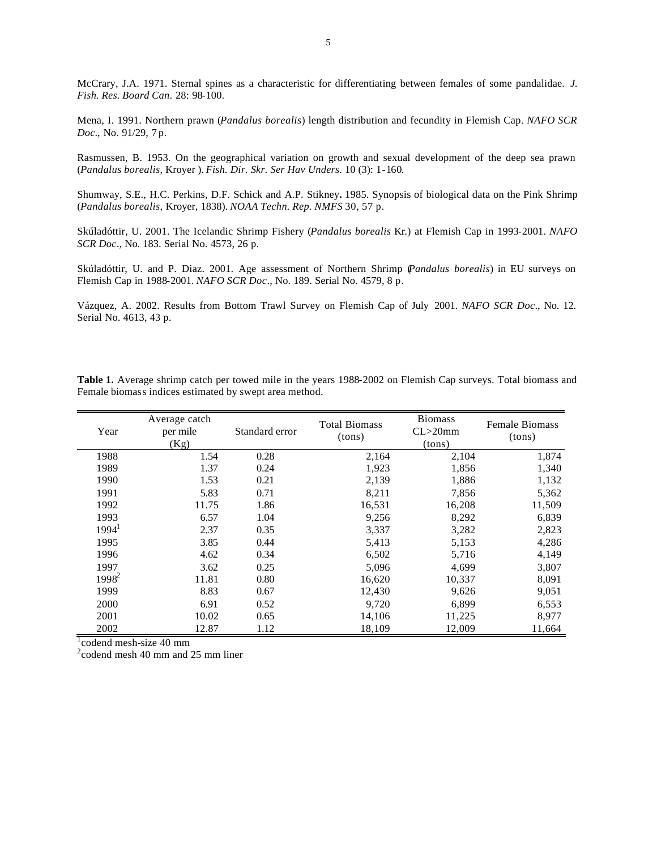McCrary, J.A. 1971. Sternal spines as a characteristic for differentiating between females of some pandalidae. *J. Fish. Res. Board Can*. 28: 98-100.

Mena, I. 1991. Northern prawn (*Pandalus borealis*) length distribution and fecundity in Flemish Cap. *NAFO SCR Doc*., No. 91/29, 7 p.

Rasmussen, B. 1953. On the geographical variation on growth and sexual development of the deep sea prawn (*Pandalus borealis*, Kroyer ). *Fish. Dir. Skr. Ser Hav Unders*. 10 (3): 1-160.

Shumway, S.E., H.C. Perkins, D.F. Schick and A.P. Stikney**.** 1985. Synopsis of biological data on the Pink Shrimp (*Pandalus borealis*, Kroyer, 1838). *NOAA Techn. Rep. NMFS* 30, 57 p.

Skúladóttir, U. 2001. The Icelandic Shrimp Fishery (*Pandalus borealis* Kr.) at Flemish Cap in 1993-2001. *NAFO SCR Doc*., No. 183. Serial No. 4573, 26 p.

Skúladóttir, U. and P. Diaz. 2001. Age assessment of Northern Shrimp (*Pandalus borealis*) in EU surveys on Flemish Cap in 1988-2001. *NAFO SCR Doc*., No. 189. Serial No. 4579, 8 p.

Vázquez, A. 2002. Results from Bottom Trawl Survey on Flemish Cap of July 2001. *NAFO SCR Doc*., No. 12. Serial No. 4613, 43 p.

**Table 1.** Average shrimp catch per towed mile in the years 1988-2002 on Flemish Cap surveys. Total biomass and Female biomass indices estimated by swept area method.

| Year     | Average catch<br>per mile<br>(Kg) | Standard error | <b>Total Biomass</b><br>(tons) | <b>Biomass</b><br>$CL > 20$ mm<br>(tons) | <b>Female Biomass</b><br>(tons) |
|----------|-----------------------------------|----------------|--------------------------------|------------------------------------------|---------------------------------|
| 1988     | 1.54                              | 0.28           | 2,164                          | 2,104                                    | 1,874                           |
| 1989     | 1.37                              | 0.24           | 1,923                          | 1,856                                    | 1,340                           |
| 1990     | 1.53                              | 0.21           | 2,139                          | 1,886                                    | 1,132                           |
| 1991     | 5.83                              | 0.71           | 8,211                          | 7,856                                    | 5,362                           |
| 1992     | 11.75                             | 1.86           | 16,531                         | 16,208                                   | 11,509                          |
| 1993     | 6.57                              | 1.04           | 9,256                          | 8,292                                    | 6,839                           |
| $1994^1$ | 2.37                              | 0.35           | 3,337                          | 3,282                                    | 2,823                           |
| 1995     | 3.85                              | 0.44           | 5,413                          | 5,153                                    | 4,286                           |
| 1996     | 4.62                              | 0.34           | 6,502                          | 5,716                                    | 4,149                           |
| 1997     | 3.62                              | 0.25           | 5,096                          | 4,699                                    | 3,807                           |
| $1998^2$ | 11.81                             | 0.80           | 16,620                         | 10,337                                   | 8,091                           |
| 1999     | 8.83                              | 0.67           | 12,430                         | 9,626                                    | 9,051                           |
| 2000     | 6.91                              | 0.52           | 9,720                          | 6,899                                    | 6,553                           |
| 2001     | 10.02                             | 0.65           | 14,106                         | 11,225                                   | 8,977                           |
| 2002     | 12.87                             | 1.12           | 18,109                         | 12,009                                   | 11,664                          |

<sup>1</sup>codend mesh-size 40 mm

 $2$ codend mesh 40 mm and 25 mm liner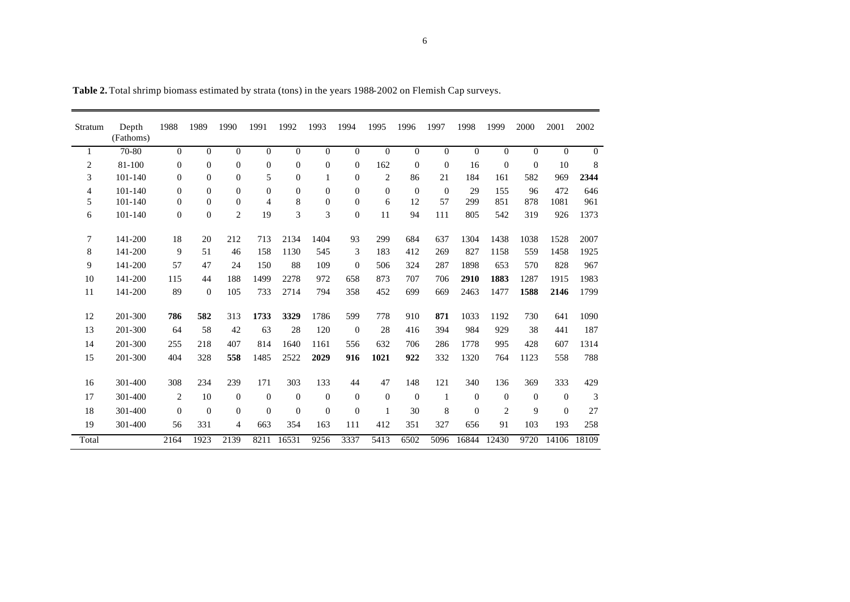| Stratum        | Depth<br>(Fathoms) | 1988           | 1989           | 1990           | 1991             | 1992             | 1993             | 1994             | 1995           | 1996     | 1997           | 1998           | 1999           | 2000           | 2001           | 2002           |
|----------------|--------------------|----------------|----------------|----------------|------------------|------------------|------------------|------------------|----------------|----------|----------------|----------------|----------------|----------------|----------------|----------------|
| 1              | 70-80              | $\mathbf{0}$   | $\overline{0}$ | $\Omega$       | $\mathbf{0}$     | $\mathbf{0}$     | $\overline{0}$   | $\overline{0}$   | $\Omega$       | $\Omega$ | $\overline{0}$ | $\overline{0}$ | $\overline{0}$ | $\overline{0}$ | $\overline{0}$ | $\overline{0}$ |
| $\overline{c}$ | 81-100             | $\mathbf{0}$   | $\Omega$       | $\Omega$       | $\boldsymbol{0}$ | $\boldsymbol{0}$ | $\boldsymbol{0}$ | $\mathbf{0}$     | 162            | $\Omega$ | $\overline{0}$ | 16             | $\mathbf{0}$   | $\theta$       | 10             | 8              |
| 3              | 101-140            | $\mathbf{0}$   | $\mathbf{0}$   | $\mathbf{0}$   | 5                | $\mathbf{0}$     | 1                | $\mathbf{0}$     | $\overline{c}$ | 86       | 21             | 184            | 161            | 582            | 969            | 2344           |
| 4              | $101 - 140$        | $\overline{0}$ | $\Omega$       | $\Omega$       | $\mathbf{0}$     | $\mathbf{0}$     | $\mathbf{0}$     | $\mathbf{0}$     | $\Omega$       | $\Omega$ | $\Omega$       | 29             | 155            | 96             | 472            | 646            |
| 5              | 101-140            | $\Omega$       | $\Omega$       | $\Omega$       | 4                | 8                | $\mathbf{0}$     | $\Omega$         | 6              | 12       | 57             | 299            | 851            | 878            | 1081           | 961            |
| 6              | 101-140            | $\mathbf{0}$   | $\Omega$       | $\overline{c}$ | 19               | 3                | 3                | $\boldsymbol{0}$ | 11             | 94       | 111            | 805            | 542            | 319            | 926            | 1373           |
| 7              | 141-200            | 18             | 20             | 212            | 713              | 2134             | 1404             | 93               | 299            | 684      | 637            | 1304           | 1438           | 1038           | 1528           | 2007           |
| 8              | 141-200            | 9              | 51             | 46             | 158              | 1130             | 545              | 3                | 183            | 412      | 269            | 827            | 1158           | 559            | 1458           | 1925           |
| 9              | 141-200            | 57             | 47             | 24             | 150              | 88               | 109              | $\mathbf{0}$     | 506            | 324      | 287            | 1898           | 653            | 570            | 828            | 967            |
| 10             | 141-200            | 115            | 44             | 188            | 1499             | 2278             | 972              | 658              | 873            | 707      | 706            | 2910           | 1883           | 1287           | 1915           | 1983           |
| 11             | 141-200            | 89             | $\theta$       | 105            | 733              | 2714             | 794              | 358              | 452            | 699      | 669            | 2463           | 1477           | 1588           | 2146           | 1799           |
| 12             | 201-300            | 786            | 582            | 313            | 1733             | 3329             | 1786             | 599              | 778            | 910      | 871            | 1033           | 1192           | 730            | 641            | 1090           |
| 13             | 201-300            | 64             | 58             | 42             | 63               | 28               | 120              | $\mathbf{0}$     | 28             | 416      | 394            | 984            | 929            | 38             | 441            | 187            |
| 14             | 201-300            | 255            | 218            | 407            | 814              | 1640             | 1161             | 556              | 632            | 706      | 286            | 1778           | 995            | 428            | 607            | 1314           |
| 15             | 201-300            | 404            | 328            | 558            | 1485             | 2522             | 2029             | 916              | 1021           | 922      | 332            | 1320           | 764            | 1123           | 558            | 788            |
| 16             | 301-400            | 308            | 234            | 239            | 171              | 303              | 133              | 44               | 47             | 148      | 121            | 340            | 136            | 369            | 333            | 429            |
| 17             | 301-400            | 2              | 10             | $\Omega$       | $\theta$         | $\mathbf{0}$     | $\theta$         | $\theta$         | $\Omega$       | $\theta$ | $\mathbf{1}$   | $\Omega$       | $\Omega$       | $\overline{0}$ | $\mathbf{0}$   | 3              |
| 18             | 301-400            | $\theta$       | $\theta$       | $\mathbf{0}$   | $\mathbf{0}$     | $\theta$         | $\theta$         | $\theta$         | 1              | 30       | 8              | $\theta$       | 2              | 9              | $\mathbf{0}$   | 27             |
| 19             | 301-400            | 56             | 331            | 4              | 663              | 354              | 163              | 111              | 412            | 351      | 327            | 656            | 91             | 103            | 193            | 258            |
| Total          |                    | 2164           | 1923           | 2139           | 8211             | 16531            | 9256             | 3337             | 5413           | 6502     | 5096           | 16844          | 12430          | 9720           | 14106          | 18109          |

**Table 2.** Total shrimp biomass estimated by strata (tons) in the years 1988-2002 on Flemish Cap surveys.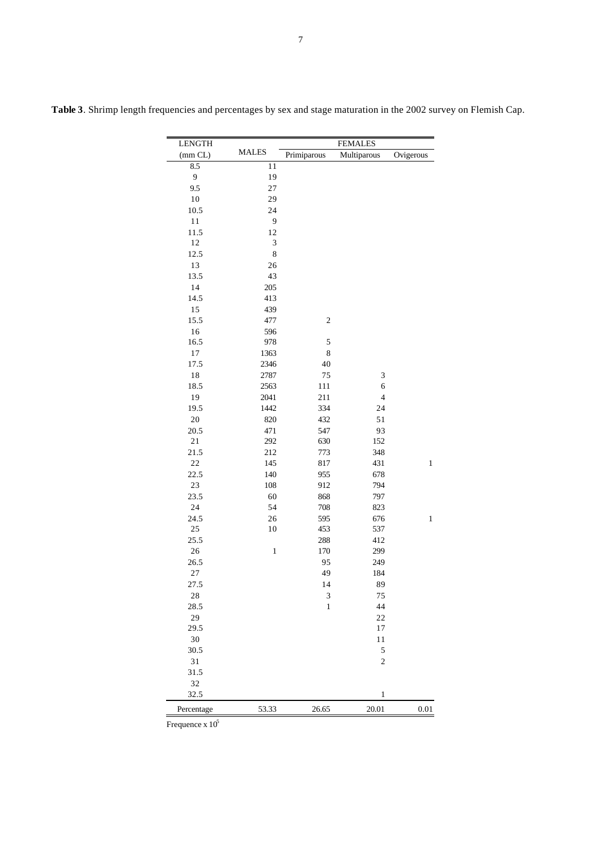| <b>LENGTH</b> |              |              | <b>FEMALES</b>           |              |
|---------------|--------------|--------------|--------------------------|--------------|
| (mm CL)       | <b>MALES</b> | Primiparous  | Multiparous              | Ovigerous    |
| 8.5           | 11           |              |                          |              |
| 9             | 19           |              |                          |              |
| 9.5           | 27           |              |                          |              |
| 10            | 29           |              |                          |              |
| 10.5          | 24           |              |                          |              |
| 11            | 9            |              |                          |              |
| 11.5          | 12           |              |                          |              |
| $12\,$        | 3            |              |                          |              |
| 12.5          | 8            |              |                          |              |
| 13            | 26           |              |                          |              |
| 13.5          | 43           |              |                          |              |
| 14            | 205          |              |                          |              |
| 14.5          | 413          |              |                          |              |
| 15            | 439          |              |                          |              |
| 15.5          | 477          | $\mathbf{2}$ |                          |              |
| 16            | 596          |              |                          |              |
| 16.5          | 978          | 5            |                          |              |
| 17            | 1363         | 8            |                          |              |
| 17.5          | 2346         | 40           |                          |              |
| $1\,8$        | 2787         | 75           | 3                        |              |
| 18.5          | 2563         | 111          | 6                        |              |
| 19            | 2041         | 211          | $\overline{\mathcal{L}}$ |              |
| 19.5          | 1442         | 334          | 24                       |              |
| $20\,$        | 820          | 432          | 51                       |              |
| 20.5          | 471          | 547          | 93                       |              |
| 21            | 292          | 630          | 152                      |              |
| 21.5          | 212          | 773          | 348                      |              |
| $22\,$        | 145          | 817          | 431                      | $\mathbf{1}$ |
| 22.5          | 140          | 955          | 678                      |              |
| $23\,$        | 108          | 912          | 794                      |              |
| 23.5          | 60           | 868          | 797                      |              |
| 24            | 54           | 708          | 823                      |              |
| 24.5          | 26           | 595          | 676                      | $\mathbf{1}$ |
| $25\,$        | $10\,$       | 453          | 537                      |              |
| 25.5          |              | 288          | 412                      |              |
| 26            | $\,1$        | 170          | 299                      |              |
| 26.5          |              | 95           | 249                      |              |
| 27            |              | 49           | 184                      |              |
| 27.5          |              | 14           | 89                       |              |
| 28            |              | 3            | 75                       |              |
| 28.5          |              | $\,1$        | 44                       |              |
| 29            |              |              | 22                       |              |
| 29.5          |              |              | 17                       |              |
| $30\,$        |              |              | 11                       |              |
| 30.5          |              |              | 5                        |              |
| 31            |              |              | $\overline{c}$           |              |
| 31.5          |              |              |                          |              |
| 32            |              |              |                          |              |
| 32.5          |              |              | $\,1$                    |              |
| Percentage    | 53.33        | 26.65        | 20.01                    | 0.01         |

**Table 3**. Shrimp length frequencies and percentages by sex and stage maturation in the 2002 survey on Flemish Cap.

Frequence x  $10^5$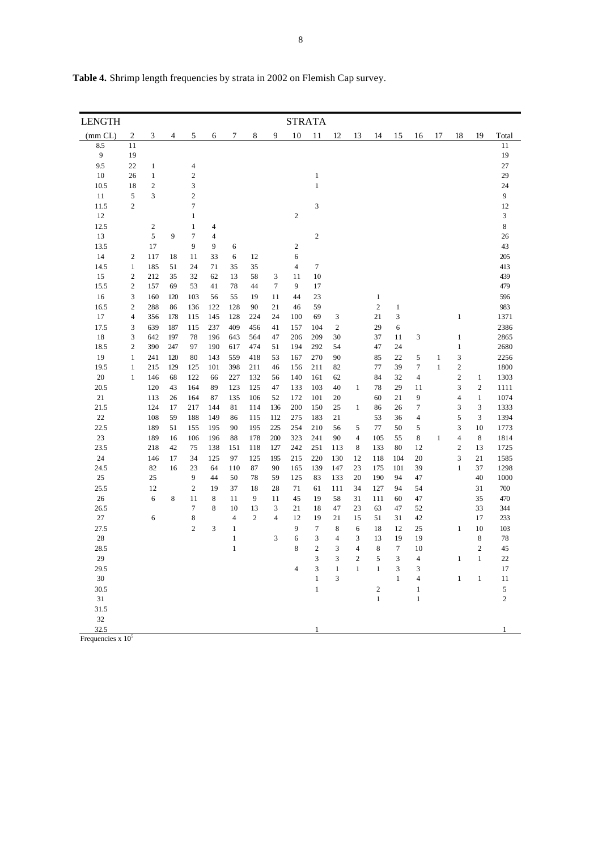| 9<br>10<br>18<br>19<br>(mm CL)<br>2<br>3<br>5<br>7<br>8<br>11<br>12<br>13<br>14<br>15<br>16<br>17<br>Total<br>4<br>6<br>8.5<br>11<br>11<br>9<br>19<br>19<br>27<br>9.5<br>22<br>$\,1\,$<br>4<br>$\mathbf 1$<br>29<br>10<br>26<br>$\overline{2}$<br>$\mathbf{1}$<br>$\overline{c}$<br>24<br>10.5<br>18<br>3<br>$\,1$<br>3<br>$\sqrt{2}$<br>$\boldsymbol{9}$<br>11<br>5<br>$\overline{c}$<br>$\tau$<br>3<br>11.5<br>12<br>12<br>$\sqrt{2}$<br>3<br>$\mathbf{1}$<br>12.5<br>8<br>2<br>$\mathbf{1}$<br>$\overline{4}$<br>13<br>5<br>9<br>7<br>$\overline{4}$<br>$\boldsymbol{2}$<br>26<br>$\sqrt{2}$<br>43<br>13.5<br>17<br>9<br>9<br>6<br>14<br>6<br>205<br>2<br>117<br>18<br>11<br>33<br>6<br>12<br>14.5<br>$\mathbf{1}$<br>24<br>35<br>35<br>7<br>413<br>185<br>51<br>71<br>$\overline{4}$<br>15<br>$\boldsymbol{2}$<br>212<br>32<br>13<br>58<br>10<br>439<br>35<br>62<br>3<br>11<br>479<br>15.5<br>$\overline{2}$<br>53<br>78<br>44<br>$\tau$<br>9<br>17<br>157<br>69<br>41<br>16<br>596<br>3<br>103<br>56<br>55<br>19<br>11<br>44<br>23<br>$\mathbf{1}$<br>160<br>120<br>16.5<br>$\overline{c}$<br>$\boldsymbol{2}$<br>288<br>136<br>122<br>128<br>59<br>983<br>86<br>90<br>21<br>46<br>$\mathbf{1}$<br>17<br>145<br>128<br>224<br>100<br>69<br>21<br>3<br>$\mathbf{1}$<br>1371<br>4<br>356<br>178<br>115<br>24<br>3<br>17.5<br>2386<br>3<br>639<br>187<br>115<br>237<br>409<br>456<br>41<br>$\boldsymbol{2}$<br>29<br>6<br>157<br>104<br>18<br>3<br>642<br>78<br>196<br>564<br>206<br>30<br>37<br>2865<br>197<br>643<br>47<br>209<br>11<br>3<br>$\mathbf{1}$<br>2680<br>18.5<br>$\overline{c}$<br>390<br>247<br>97<br>190<br>617<br>474<br>194<br>292<br>54<br>47<br>24<br>$\mathbf{1}$<br>51<br>19<br>90<br>3<br>2256<br>$\mathbf{1}$<br>241<br>120<br>80<br>143<br>559<br>418<br>53<br>167<br>270<br>85<br>22<br>5<br>$\mathbf{1}$<br>$\overline{7}$<br>$\mathbf{2}$<br>19.5<br>$\mathbf{1}$<br>215<br>398<br>211<br>156<br>211<br>82<br>77<br>39<br>$\mathbf{1}$<br>1800<br>129<br>125<br>101<br>46<br>20<br>$\overline{c}$<br>146<br>122<br>62<br>84<br>32<br>$\overline{4}$<br>1303<br>$\mathbf{1}$<br>68<br>66<br>227<br>132<br>56<br>140<br>161<br>$\mathbf{1}$<br>3<br>$\overline{c}$<br>20.5<br>120<br>164<br>89<br>125<br>47<br>133<br>40<br>$\mathbf{1}$<br>78<br>29<br>11<br>1111<br>43<br>123<br>103<br>9<br>$\,1\,$<br>1074<br>21<br>164<br>135<br>106<br>52<br>172<br>101<br>20<br>60<br>21<br>$\overline{4}$<br>113<br>26<br>87<br>21.5<br>217<br>136<br>200<br>25<br>$\tau$<br>3<br>3<br>1333<br>124<br>17<br>144<br>81<br>114<br>150<br>86<br>26<br>1<br>5<br>3<br>22<br>108<br>275<br>21<br>53<br>36<br>1394<br>59<br>188<br>149<br>86<br>115<br>112<br>183<br>$\overline{4}$<br>3<br>22.5<br>189<br>155<br>225<br>254<br>56<br>77<br>5<br>10<br>1773<br>51<br>195<br>90<br>195<br>210<br>5<br>50<br>23<br>$\,8\,$<br>189<br>106<br>196<br>178<br>200<br>323<br>90<br>$\overline{4}$<br>105<br>8<br>$\mathbf{1}$<br>$\overline{4}$<br>1814<br>16<br>88<br>241<br>55<br>$\overline{c}$<br>23.5<br>218<br>118<br>242<br>251<br>113<br>133<br>12<br>13<br>42<br>75<br>138<br>151<br>127<br>8<br>80<br>1725<br>24<br>3<br>34<br>125<br>195<br>215<br>220<br>130<br>20<br>21<br>1585<br>146<br>17<br>125<br>97<br>12<br>118<br>104<br>24.5<br>82<br>110<br>87<br>165<br>139<br>147<br>39<br>$\mathbf{1}$<br>37<br>1298<br>16<br>23<br>64<br>90<br>23<br>175<br>101<br>25<br>25<br>9<br>44<br>78<br>125<br>190<br>47<br>40<br>1000<br>50<br>59<br>83<br>133<br>20<br>94<br>25.5<br>12<br>$\overline{c}$<br>18<br>127<br>54<br>31<br>700<br>19<br>37<br>28<br>71<br>61<br>111<br>34<br>94<br>26<br>6<br>8<br>11<br>8<br>11<br>9<br>11<br>45<br>19<br>58<br>47<br>35<br>470<br>31<br>111<br>60<br>26.5<br>7<br>8<br>10<br>21<br>47<br>52<br>33<br>344<br>13<br>3<br>18<br>23<br>63<br>47<br>27<br>6<br>8<br>$\overline{4}$<br>$\overline{c}$<br>12<br>19<br>21<br>51<br>42<br>17<br>233<br>$\overline{4}$<br>15<br>31<br>9<br>27.5<br>$\overline{2}$<br>3<br>7<br>$\,$ 8 $\,$<br>18<br>12<br>25<br>$\mathbf{1}$<br>10<br>103<br>$\mathbf{1}$<br>6<br>$28\,$<br>$\,1\,$<br>6<br>$\,$ 8 $\,$<br>3<br>3<br>$\overline{4}$<br>3<br>13<br>19<br>19<br>78<br>$\overline{c}$<br>$\overline{c}$<br>28.5<br>$\mathbf{1}$<br>8<br>3<br>4<br>$\,8\,$<br>$\tau$<br>10<br>45<br>29<br>3<br>3<br>$\overline{c}$<br>5<br>3<br>$\overline{4}$<br>$\mathbf{1}$<br>22<br>$\mathbf{1}$<br>3<br>$\mathbf{1}$<br>$\mathbf{1}$<br>$\mathbf{1}$<br>29.5<br>$\overline{4}$<br>3<br>3<br>17<br>30<br>$\mathbf{1}$<br>3<br>$\mathbf{1}$<br>11<br>$\overline{4}$<br>$\mathbf{1}$<br>$\mathbf{1}$<br>5<br>30.5<br>$\mathbf{1}$<br>$\boldsymbol{2}$<br>$\mathbf{1}$<br>$\mathbf{1}$<br>31<br>$\mathbf{1}$<br>2<br>31.5<br>32<br>32.5<br>$\mathbf{1}$<br>1<br>Frequencies $x 10^5$ | <b>LENGTH</b> |  |  |  |  | <b>STRATA</b> |  |  |  |  |  |
|------------------------------------------------------------------------------------------------------------------------------------------------------------------------------------------------------------------------------------------------------------------------------------------------------------------------------------------------------------------------------------------------------------------------------------------------------------------------------------------------------------------------------------------------------------------------------------------------------------------------------------------------------------------------------------------------------------------------------------------------------------------------------------------------------------------------------------------------------------------------------------------------------------------------------------------------------------------------------------------------------------------------------------------------------------------------------------------------------------------------------------------------------------------------------------------------------------------------------------------------------------------------------------------------------------------------------------------------------------------------------------------------------------------------------------------------------------------------------------------------------------------------------------------------------------------------------------------------------------------------------------------------------------------------------------------------------------------------------------------------------------------------------------------------------------------------------------------------------------------------------------------------------------------------------------------------------------------------------------------------------------------------------------------------------------------------------------------------------------------------------------------------------------------------------------------------------------------------------------------------------------------------------------------------------------------------------------------------------------------------------------------------------------------------------------------------------------------------------------------------------------------------------------------------------------------------------------------------------------------------------------------------------------------------------------------------------------------------------------------------------------------------------------------------------------------------------------------------------------------------------------------------------------------------------------------------------------------------------------------------------------------------------------------------------------------------------------------------------------------------------------------------------------------------------------------------------------------------------------------------------------------------------------------------------------------------------------------------------------------------------------------------------------------------------------------------------------------------------------------------------------------------------------------------------------------------------------------------------------------------------------------------------------------------------------------------------------------------------------------------------------------------------------------------------------------------------------------------------------------------------------------------------------------------------------------------------------------------------------------------------------------------------------------------------------------------------------------------------------------------------------------------------------------------------------------------------------------------------------------------------------------------------------------------------------------------------------------------------------------------------------------------------------------------------------------------------------------------------------------------------------------------------------------------------------------------------------------------------------------------------------------------------------------------------------------------------------------------------------------------------------------|---------------|--|--|--|--|---------------|--|--|--|--|--|
|                                                                                                                                                                                                                                                                                                                                                                                                                                                                                                                                                                                                                                                                                                                                                                                                                                                                                                                                                                                                                                                                                                                                                                                                                                                                                                                                                                                                                                                                                                                                                                                                                                                                                                                                                                                                                                                                                                                                                                                                                                                                                                                                                                                                                                                                                                                                                                                                                                                                                                                                                                                                                                                                                                                                                                                                                                                                                                                                                                                                                                                                                                                                                                                                                                                                                                                                                                                                                                                                                                                                                                                                                                                                                                                                                                                                                                                                                                                                                                                                                                                                                                                                                                                                                                                                                                                                                                                                                                                                                                                                                                                                                                                                                                                                                                  |               |  |  |  |  |               |  |  |  |  |  |
|                                                                                                                                                                                                                                                                                                                                                                                                                                                                                                                                                                                                                                                                                                                                                                                                                                                                                                                                                                                                                                                                                                                                                                                                                                                                                                                                                                                                                                                                                                                                                                                                                                                                                                                                                                                                                                                                                                                                                                                                                                                                                                                                                                                                                                                                                                                                                                                                                                                                                                                                                                                                                                                                                                                                                                                                                                                                                                                                                                                                                                                                                                                                                                                                                                                                                                                                                                                                                                                                                                                                                                                                                                                                                                                                                                                                                                                                                                                                                                                                                                                                                                                                                                                                                                                                                                                                                                                                                                                                                                                                                                                                                                                                                                                                                                  |               |  |  |  |  |               |  |  |  |  |  |
|                                                                                                                                                                                                                                                                                                                                                                                                                                                                                                                                                                                                                                                                                                                                                                                                                                                                                                                                                                                                                                                                                                                                                                                                                                                                                                                                                                                                                                                                                                                                                                                                                                                                                                                                                                                                                                                                                                                                                                                                                                                                                                                                                                                                                                                                                                                                                                                                                                                                                                                                                                                                                                                                                                                                                                                                                                                                                                                                                                                                                                                                                                                                                                                                                                                                                                                                                                                                                                                                                                                                                                                                                                                                                                                                                                                                                                                                                                                                                                                                                                                                                                                                                                                                                                                                                                                                                                                                                                                                                                                                                                                                                                                                                                                                                                  |               |  |  |  |  |               |  |  |  |  |  |
|                                                                                                                                                                                                                                                                                                                                                                                                                                                                                                                                                                                                                                                                                                                                                                                                                                                                                                                                                                                                                                                                                                                                                                                                                                                                                                                                                                                                                                                                                                                                                                                                                                                                                                                                                                                                                                                                                                                                                                                                                                                                                                                                                                                                                                                                                                                                                                                                                                                                                                                                                                                                                                                                                                                                                                                                                                                                                                                                                                                                                                                                                                                                                                                                                                                                                                                                                                                                                                                                                                                                                                                                                                                                                                                                                                                                                                                                                                                                                                                                                                                                                                                                                                                                                                                                                                                                                                                                                                                                                                                                                                                                                                                                                                                                                                  |               |  |  |  |  |               |  |  |  |  |  |
|                                                                                                                                                                                                                                                                                                                                                                                                                                                                                                                                                                                                                                                                                                                                                                                                                                                                                                                                                                                                                                                                                                                                                                                                                                                                                                                                                                                                                                                                                                                                                                                                                                                                                                                                                                                                                                                                                                                                                                                                                                                                                                                                                                                                                                                                                                                                                                                                                                                                                                                                                                                                                                                                                                                                                                                                                                                                                                                                                                                                                                                                                                                                                                                                                                                                                                                                                                                                                                                                                                                                                                                                                                                                                                                                                                                                                                                                                                                                                                                                                                                                                                                                                                                                                                                                                                                                                                                                                                                                                                                                                                                                                                                                                                                                                                  |               |  |  |  |  |               |  |  |  |  |  |
|                                                                                                                                                                                                                                                                                                                                                                                                                                                                                                                                                                                                                                                                                                                                                                                                                                                                                                                                                                                                                                                                                                                                                                                                                                                                                                                                                                                                                                                                                                                                                                                                                                                                                                                                                                                                                                                                                                                                                                                                                                                                                                                                                                                                                                                                                                                                                                                                                                                                                                                                                                                                                                                                                                                                                                                                                                                                                                                                                                                                                                                                                                                                                                                                                                                                                                                                                                                                                                                                                                                                                                                                                                                                                                                                                                                                                                                                                                                                                                                                                                                                                                                                                                                                                                                                                                                                                                                                                                                                                                                                                                                                                                                                                                                                                                  |               |  |  |  |  |               |  |  |  |  |  |
|                                                                                                                                                                                                                                                                                                                                                                                                                                                                                                                                                                                                                                                                                                                                                                                                                                                                                                                                                                                                                                                                                                                                                                                                                                                                                                                                                                                                                                                                                                                                                                                                                                                                                                                                                                                                                                                                                                                                                                                                                                                                                                                                                                                                                                                                                                                                                                                                                                                                                                                                                                                                                                                                                                                                                                                                                                                                                                                                                                                                                                                                                                                                                                                                                                                                                                                                                                                                                                                                                                                                                                                                                                                                                                                                                                                                                                                                                                                                                                                                                                                                                                                                                                                                                                                                                                                                                                                                                                                                                                                                                                                                                                                                                                                                                                  |               |  |  |  |  |               |  |  |  |  |  |
|                                                                                                                                                                                                                                                                                                                                                                                                                                                                                                                                                                                                                                                                                                                                                                                                                                                                                                                                                                                                                                                                                                                                                                                                                                                                                                                                                                                                                                                                                                                                                                                                                                                                                                                                                                                                                                                                                                                                                                                                                                                                                                                                                                                                                                                                                                                                                                                                                                                                                                                                                                                                                                                                                                                                                                                                                                                                                                                                                                                                                                                                                                                                                                                                                                                                                                                                                                                                                                                                                                                                                                                                                                                                                                                                                                                                                                                                                                                                                                                                                                                                                                                                                                                                                                                                                                                                                                                                                                                                                                                                                                                                                                                                                                                                                                  |               |  |  |  |  |               |  |  |  |  |  |
|                                                                                                                                                                                                                                                                                                                                                                                                                                                                                                                                                                                                                                                                                                                                                                                                                                                                                                                                                                                                                                                                                                                                                                                                                                                                                                                                                                                                                                                                                                                                                                                                                                                                                                                                                                                                                                                                                                                                                                                                                                                                                                                                                                                                                                                                                                                                                                                                                                                                                                                                                                                                                                                                                                                                                                                                                                                                                                                                                                                                                                                                                                                                                                                                                                                                                                                                                                                                                                                                                                                                                                                                                                                                                                                                                                                                                                                                                                                                                                                                                                                                                                                                                                                                                                                                                                                                                                                                                                                                                                                                                                                                                                                                                                                                                                  |               |  |  |  |  |               |  |  |  |  |  |
|                                                                                                                                                                                                                                                                                                                                                                                                                                                                                                                                                                                                                                                                                                                                                                                                                                                                                                                                                                                                                                                                                                                                                                                                                                                                                                                                                                                                                                                                                                                                                                                                                                                                                                                                                                                                                                                                                                                                                                                                                                                                                                                                                                                                                                                                                                                                                                                                                                                                                                                                                                                                                                                                                                                                                                                                                                                                                                                                                                                                                                                                                                                                                                                                                                                                                                                                                                                                                                                                                                                                                                                                                                                                                                                                                                                                                                                                                                                                                                                                                                                                                                                                                                                                                                                                                                                                                                                                                                                                                                                                                                                                                                                                                                                                                                  |               |  |  |  |  |               |  |  |  |  |  |
|                                                                                                                                                                                                                                                                                                                                                                                                                                                                                                                                                                                                                                                                                                                                                                                                                                                                                                                                                                                                                                                                                                                                                                                                                                                                                                                                                                                                                                                                                                                                                                                                                                                                                                                                                                                                                                                                                                                                                                                                                                                                                                                                                                                                                                                                                                                                                                                                                                                                                                                                                                                                                                                                                                                                                                                                                                                                                                                                                                                                                                                                                                                                                                                                                                                                                                                                                                                                                                                                                                                                                                                                                                                                                                                                                                                                                                                                                                                                                                                                                                                                                                                                                                                                                                                                                                                                                                                                                                                                                                                                                                                                                                                                                                                                                                  |               |  |  |  |  |               |  |  |  |  |  |
|                                                                                                                                                                                                                                                                                                                                                                                                                                                                                                                                                                                                                                                                                                                                                                                                                                                                                                                                                                                                                                                                                                                                                                                                                                                                                                                                                                                                                                                                                                                                                                                                                                                                                                                                                                                                                                                                                                                                                                                                                                                                                                                                                                                                                                                                                                                                                                                                                                                                                                                                                                                                                                                                                                                                                                                                                                                                                                                                                                                                                                                                                                                                                                                                                                                                                                                                                                                                                                                                                                                                                                                                                                                                                                                                                                                                                                                                                                                                                                                                                                                                                                                                                                                                                                                                                                                                                                                                                                                                                                                                                                                                                                                                                                                                                                  |               |  |  |  |  |               |  |  |  |  |  |
|                                                                                                                                                                                                                                                                                                                                                                                                                                                                                                                                                                                                                                                                                                                                                                                                                                                                                                                                                                                                                                                                                                                                                                                                                                                                                                                                                                                                                                                                                                                                                                                                                                                                                                                                                                                                                                                                                                                                                                                                                                                                                                                                                                                                                                                                                                                                                                                                                                                                                                                                                                                                                                                                                                                                                                                                                                                                                                                                                                                                                                                                                                                                                                                                                                                                                                                                                                                                                                                                                                                                                                                                                                                                                                                                                                                                                                                                                                                                                                                                                                                                                                                                                                                                                                                                                                                                                                                                                                                                                                                                                                                                                                                                                                                                                                  |               |  |  |  |  |               |  |  |  |  |  |
|                                                                                                                                                                                                                                                                                                                                                                                                                                                                                                                                                                                                                                                                                                                                                                                                                                                                                                                                                                                                                                                                                                                                                                                                                                                                                                                                                                                                                                                                                                                                                                                                                                                                                                                                                                                                                                                                                                                                                                                                                                                                                                                                                                                                                                                                                                                                                                                                                                                                                                                                                                                                                                                                                                                                                                                                                                                                                                                                                                                                                                                                                                                                                                                                                                                                                                                                                                                                                                                                                                                                                                                                                                                                                                                                                                                                                                                                                                                                                                                                                                                                                                                                                                                                                                                                                                                                                                                                                                                                                                                                                                                                                                                                                                                                                                  |               |  |  |  |  |               |  |  |  |  |  |
|                                                                                                                                                                                                                                                                                                                                                                                                                                                                                                                                                                                                                                                                                                                                                                                                                                                                                                                                                                                                                                                                                                                                                                                                                                                                                                                                                                                                                                                                                                                                                                                                                                                                                                                                                                                                                                                                                                                                                                                                                                                                                                                                                                                                                                                                                                                                                                                                                                                                                                                                                                                                                                                                                                                                                                                                                                                                                                                                                                                                                                                                                                                                                                                                                                                                                                                                                                                                                                                                                                                                                                                                                                                                                                                                                                                                                                                                                                                                                                                                                                                                                                                                                                                                                                                                                                                                                                                                                                                                                                                                                                                                                                                                                                                                                                  |               |  |  |  |  |               |  |  |  |  |  |
|                                                                                                                                                                                                                                                                                                                                                                                                                                                                                                                                                                                                                                                                                                                                                                                                                                                                                                                                                                                                                                                                                                                                                                                                                                                                                                                                                                                                                                                                                                                                                                                                                                                                                                                                                                                                                                                                                                                                                                                                                                                                                                                                                                                                                                                                                                                                                                                                                                                                                                                                                                                                                                                                                                                                                                                                                                                                                                                                                                                                                                                                                                                                                                                                                                                                                                                                                                                                                                                                                                                                                                                                                                                                                                                                                                                                                                                                                                                                                                                                                                                                                                                                                                                                                                                                                                                                                                                                                                                                                                                                                                                                                                                                                                                                                                  |               |  |  |  |  |               |  |  |  |  |  |
|                                                                                                                                                                                                                                                                                                                                                                                                                                                                                                                                                                                                                                                                                                                                                                                                                                                                                                                                                                                                                                                                                                                                                                                                                                                                                                                                                                                                                                                                                                                                                                                                                                                                                                                                                                                                                                                                                                                                                                                                                                                                                                                                                                                                                                                                                                                                                                                                                                                                                                                                                                                                                                                                                                                                                                                                                                                                                                                                                                                                                                                                                                                                                                                                                                                                                                                                                                                                                                                                                                                                                                                                                                                                                                                                                                                                                                                                                                                                                                                                                                                                                                                                                                                                                                                                                                                                                                                                                                                                                                                                                                                                                                                                                                                                                                  |               |  |  |  |  |               |  |  |  |  |  |
|                                                                                                                                                                                                                                                                                                                                                                                                                                                                                                                                                                                                                                                                                                                                                                                                                                                                                                                                                                                                                                                                                                                                                                                                                                                                                                                                                                                                                                                                                                                                                                                                                                                                                                                                                                                                                                                                                                                                                                                                                                                                                                                                                                                                                                                                                                                                                                                                                                                                                                                                                                                                                                                                                                                                                                                                                                                                                                                                                                                                                                                                                                                                                                                                                                                                                                                                                                                                                                                                                                                                                                                                                                                                                                                                                                                                                                                                                                                                                                                                                                                                                                                                                                                                                                                                                                                                                                                                                                                                                                                                                                                                                                                                                                                                                                  |               |  |  |  |  |               |  |  |  |  |  |
|                                                                                                                                                                                                                                                                                                                                                                                                                                                                                                                                                                                                                                                                                                                                                                                                                                                                                                                                                                                                                                                                                                                                                                                                                                                                                                                                                                                                                                                                                                                                                                                                                                                                                                                                                                                                                                                                                                                                                                                                                                                                                                                                                                                                                                                                                                                                                                                                                                                                                                                                                                                                                                                                                                                                                                                                                                                                                                                                                                                                                                                                                                                                                                                                                                                                                                                                                                                                                                                                                                                                                                                                                                                                                                                                                                                                                                                                                                                                                                                                                                                                                                                                                                                                                                                                                                                                                                                                                                                                                                                                                                                                                                                                                                                                                                  |               |  |  |  |  |               |  |  |  |  |  |
|                                                                                                                                                                                                                                                                                                                                                                                                                                                                                                                                                                                                                                                                                                                                                                                                                                                                                                                                                                                                                                                                                                                                                                                                                                                                                                                                                                                                                                                                                                                                                                                                                                                                                                                                                                                                                                                                                                                                                                                                                                                                                                                                                                                                                                                                                                                                                                                                                                                                                                                                                                                                                                                                                                                                                                                                                                                                                                                                                                                                                                                                                                                                                                                                                                                                                                                                                                                                                                                                                                                                                                                                                                                                                                                                                                                                                                                                                                                                                                                                                                                                                                                                                                                                                                                                                                                                                                                                                                                                                                                                                                                                                                                                                                                                                                  |               |  |  |  |  |               |  |  |  |  |  |
|                                                                                                                                                                                                                                                                                                                                                                                                                                                                                                                                                                                                                                                                                                                                                                                                                                                                                                                                                                                                                                                                                                                                                                                                                                                                                                                                                                                                                                                                                                                                                                                                                                                                                                                                                                                                                                                                                                                                                                                                                                                                                                                                                                                                                                                                                                                                                                                                                                                                                                                                                                                                                                                                                                                                                                                                                                                                                                                                                                                                                                                                                                                                                                                                                                                                                                                                                                                                                                                                                                                                                                                                                                                                                                                                                                                                                                                                                                                                                                                                                                                                                                                                                                                                                                                                                                                                                                                                                                                                                                                                                                                                                                                                                                                                                                  |               |  |  |  |  |               |  |  |  |  |  |
|                                                                                                                                                                                                                                                                                                                                                                                                                                                                                                                                                                                                                                                                                                                                                                                                                                                                                                                                                                                                                                                                                                                                                                                                                                                                                                                                                                                                                                                                                                                                                                                                                                                                                                                                                                                                                                                                                                                                                                                                                                                                                                                                                                                                                                                                                                                                                                                                                                                                                                                                                                                                                                                                                                                                                                                                                                                                                                                                                                                                                                                                                                                                                                                                                                                                                                                                                                                                                                                                                                                                                                                                                                                                                                                                                                                                                                                                                                                                                                                                                                                                                                                                                                                                                                                                                                                                                                                                                                                                                                                                                                                                                                                                                                                                                                  |               |  |  |  |  |               |  |  |  |  |  |
|                                                                                                                                                                                                                                                                                                                                                                                                                                                                                                                                                                                                                                                                                                                                                                                                                                                                                                                                                                                                                                                                                                                                                                                                                                                                                                                                                                                                                                                                                                                                                                                                                                                                                                                                                                                                                                                                                                                                                                                                                                                                                                                                                                                                                                                                                                                                                                                                                                                                                                                                                                                                                                                                                                                                                                                                                                                                                                                                                                                                                                                                                                                                                                                                                                                                                                                                                                                                                                                                                                                                                                                                                                                                                                                                                                                                                                                                                                                                                                                                                                                                                                                                                                                                                                                                                                                                                                                                                                                                                                                                                                                                                                                                                                                                                                  |               |  |  |  |  |               |  |  |  |  |  |
|                                                                                                                                                                                                                                                                                                                                                                                                                                                                                                                                                                                                                                                                                                                                                                                                                                                                                                                                                                                                                                                                                                                                                                                                                                                                                                                                                                                                                                                                                                                                                                                                                                                                                                                                                                                                                                                                                                                                                                                                                                                                                                                                                                                                                                                                                                                                                                                                                                                                                                                                                                                                                                                                                                                                                                                                                                                                                                                                                                                                                                                                                                                                                                                                                                                                                                                                                                                                                                                                                                                                                                                                                                                                                                                                                                                                                                                                                                                                                                                                                                                                                                                                                                                                                                                                                                                                                                                                                                                                                                                                                                                                                                                                                                                                                                  |               |  |  |  |  |               |  |  |  |  |  |
|                                                                                                                                                                                                                                                                                                                                                                                                                                                                                                                                                                                                                                                                                                                                                                                                                                                                                                                                                                                                                                                                                                                                                                                                                                                                                                                                                                                                                                                                                                                                                                                                                                                                                                                                                                                                                                                                                                                                                                                                                                                                                                                                                                                                                                                                                                                                                                                                                                                                                                                                                                                                                                                                                                                                                                                                                                                                                                                                                                                                                                                                                                                                                                                                                                                                                                                                                                                                                                                                                                                                                                                                                                                                                                                                                                                                                                                                                                                                                                                                                                                                                                                                                                                                                                                                                                                                                                                                                                                                                                                                                                                                                                                                                                                                                                  |               |  |  |  |  |               |  |  |  |  |  |
|                                                                                                                                                                                                                                                                                                                                                                                                                                                                                                                                                                                                                                                                                                                                                                                                                                                                                                                                                                                                                                                                                                                                                                                                                                                                                                                                                                                                                                                                                                                                                                                                                                                                                                                                                                                                                                                                                                                                                                                                                                                                                                                                                                                                                                                                                                                                                                                                                                                                                                                                                                                                                                                                                                                                                                                                                                                                                                                                                                                                                                                                                                                                                                                                                                                                                                                                                                                                                                                                                                                                                                                                                                                                                                                                                                                                                                                                                                                                                                                                                                                                                                                                                                                                                                                                                                                                                                                                                                                                                                                                                                                                                                                                                                                                                                  |               |  |  |  |  |               |  |  |  |  |  |
|                                                                                                                                                                                                                                                                                                                                                                                                                                                                                                                                                                                                                                                                                                                                                                                                                                                                                                                                                                                                                                                                                                                                                                                                                                                                                                                                                                                                                                                                                                                                                                                                                                                                                                                                                                                                                                                                                                                                                                                                                                                                                                                                                                                                                                                                                                                                                                                                                                                                                                                                                                                                                                                                                                                                                                                                                                                                                                                                                                                                                                                                                                                                                                                                                                                                                                                                                                                                                                                                                                                                                                                                                                                                                                                                                                                                                                                                                                                                                                                                                                                                                                                                                                                                                                                                                                                                                                                                                                                                                                                                                                                                                                                                                                                                                                  |               |  |  |  |  |               |  |  |  |  |  |
|                                                                                                                                                                                                                                                                                                                                                                                                                                                                                                                                                                                                                                                                                                                                                                                                                                                                                                                                                                                                                                                                                                                                                                                                                                                                                                                                                                                                                                                                                                                                                                                                                                                                                                                                                                                                                                                                                                                                                                                                                                                                                                                                                                                                                                                                                                                                                                                                                                                                                                                                                                                                                                                                                                                                                                                                                                                                                                                                                                                                                                                                                                                                                                                                                                                                                                                                                                                                                                                                                                                                                                                                                                                                                                                                                                                                                                                                                                                                                                                                                                                                                                                                                                                                                                                                                                                                                                                                                                                                                                                                                                                                                                                                                                                                                                  |               |  |  |  |  |               |  |  |  |  |  |
|                                                                                                                                                                                                                                                                                                                                                                                                                                                                                                                                                                                                                                                                                                                                                                                                                                                                                                                                                                                                                                                                                                                                                                                                                                                                                                                                                                                                                                                                                                                                                                                                                                                                                                                                                                                                                                                                                                                                                                                                                                                                                                                                                                                                                                                                                                                                                                                                                                                                                                                                                                                                                                                                                                                                                                                                                                                                                                                                                                                                                                                                                                                                                                                                                                                                                                                                                                                                                                                                                                                                                                                                                                                                                                                                                                                                                                                                                                                                                                                                                                                                                                                                                                                                                                                                                                                                                                                                                                                                                                                                                                                                                                                                                                                                                                  |               |  |  |  |  |               |  |  |  |  |  |
|                                                                                                                                                                                                                                                                                                                                                                                                                                                                                                                                                                                                                                                                                                                                                                                                                                                                                                                                                                                                                                                                                                                                                                                                                                                                                                                                                                                                                                                                                                                                                                                                                                                                                                                                                                                                                                                                                                                                                                                                                                                                                                                                                                                                                                                                                                                                                                                                                                                                                                                                                                                                                                                                                                                                                                                                                                                                                                                                                                                                                                                                                                                                                                                                                                                                                                                                                                                                                                                                                                                                                                                                                                                                                                                                                                                                                                                                                                                                                                                                                                                                                                                                                                                                                                                                                                                                                                                                                                                                                                                                                                                                                                                                                                                                                                  |               |  |  |  |  |               |  |  |  |  |  |
|                                                                                                                                                                                                                                                                                                                                                                                                                                                                                                                                                                                                                                                                                                                                                                                                                                                                                                                                                                                                                                                                                                                                                                                                                                                                                                                                                                                                                                                                                                                                                                                                                                                                                                                                                                                                                                                                                                                                                                                                                                                                                                                                                                                                                                                                                                                                                                                                                                                                                                                                                                                                                                                                                                                                                                                                                                                                                                                                                                                                                                                                                                                                                                                                                                                                                                                                                                                                                                                                                                                                                                                                                                                                                                                                                                                                                                                                                                                                                                                                                                                                                                                                                                                                                                                                                                                                                                                                                                                                                                                                                                                                                                                                                                                                                                  |               |  |  |  |  |               |  |  |  |  |  |
|                                                                                                                                                                                                                                                                                                                                                                                                                                                                                                                                                                                                                                                                                                                                                                                                                                                                                                                                                                                                                                                                                                                                                                                                                                                                                                                                                                                                                                                                                                                                                                                                                                                                                                                                                                                                                                                                                                                                                                                                                                                                                                                                                                                                                                                                                                                                                                                                                                                                                                                                                                                                                                                                                                                                                                                                                                                                                                                                                                                                                                                                                                                                                                                                                                                                                                                                                                                                                                                                                                                                                                                                                                                                                                                                                                                                                                                                                                                                                                                                                                                                                                                                                                                                                                                                                                                                                                                                                                                                                                                                                                                                                                                                                                                                                                  |               |  |  |  |  |               |  |  |  |  |  |
|                                                                                                                                                                                                                                                                                                                                                                                                                                                                                                                                                                                                                                                                                                                                                                                                                                                                                                                                                                                                                                                                                                                                                                                                                                                                                                                                                                                                                                                                                                                                                                                                                                                                                                                                                                                                                                                                                                                                                                                                                                                                                                                                                                                                                                                                                                                                                                                                                                                                                                                                                                                                                                                                                                                                                                                                                                                                                                                                                                                                                                                                                                                                                                                                                                                                                                                                                                                                                                                                                                                                                                                                                                                                                                                                                                                                                                                                                                                                                                                                                                                                                                                                                                                                                                                                                                                                                                                                                                                                                                                                                                                                                                                                                                                                                                  |               |  |  |  |  |               |  |  |  |  |  |
|                                                                                                                                                                                                                                                                                                                                                                                                                                                                                                                                                                                                                                                                                                                                                                                                                                                                                                                                                                                                                                                                                                                                                                                                                                                                                                                                                                                                                                                                                                                                                                                                                                                                                                                                                                                                                                                                                                                                                                                                                                                                                                                                                                                                                                                                                                                                                                                                                                                                                                                                                                                                                                                                                                                                                                                                                                                                                                                                                                                                                                                                                                                                                                                                                                                                                                                                                                                                                                                                                                                                                                                                                                                                                                                                                                                                                                                                                                                                                                                                                                                                                                                                                                                                                                                                                                                                                                                                                                                                                                                                                                                                                                                                                                                                                                  |               |  |  |  |  |               |  |  |  |  |  |
|                                                                                                                                                                                                                                                                                                                                                                                                                                                                                                                                                                                                                                                                                                                                                                                                                                                                                                                                                                                                                                                                                                                                                                                                                                                                                                                                                                                                                                                                                                                                                                                                                                                                                                                                                                                                                                                                                                                                                                                                                                                                                                                                                                                                                                                                                                                                                                                                                                                                                                                                                                                                                                                                                                                                                                                                                                                                                                                                                                                                                                                                                                                                                                                                                                                                                                                                                                                                                                                                                                                                                                                                                                                                                                                                                                                                                                                                                                                                                                                                                                                                                                                                                                                                                                                                                                                                                                                                                                                                                                                                                                                                                                                                                                                                                                  |               |  |  |  |  |               |  |  |  |  |  |
|                                                                                                                                                                                                                                                                                                                                                                                                                                                                                                                                                                                                                                                                                                                                                                                                                                                                                                                                                                                                                                                                                                                                                                                                                                                                                                                                                                                                                                                                                                                                                                                                                                                                                                                                                                                                                                                                                                                                                                                                                                                                                                                                                                                                                                                                                                                                                                                                                                                                                                                                                                                                                                                                                                                                                                                                                                                                                                                                                                                                                                                                                                                                                                                                                                                                                                                                                                                                                                                                                                                                                                                                                                                                                                                                                                                                                                                                                                                                                                                                                                                                                                                                                                                                                                                                                                                                                                                                                                                                                                                                                                                                                                                                                                                                                                  |               |  |  |  |  |               |  |  |  |  |  |
|                                                                                                                                                                                                                                                                                                                                                                                                                                                                                                                                                                                                                                                                                                                                                                                                                                                                                                                                                                                                                                                                                                                                                                                                                                                                                                                                                                                                                                                                                                                                                                                                                                                                                                                                                                                                                                                                                                                                                                                                                                                                                                                                                                                                                                                                                                                                                                                                                                                                                                                                                                                                                                                                                                                                                                                                                                                                                                                                                                                                                                                                                                                                                                                                                                                                                                                                                                                                                                                                                                                                                                                                                                                                                                                                                                                                                                                                                                                                                                                                                                                                                                                                                                                                                                                                                                                                                                                                                                                                                                                                                                                                                                                                                                                                                                  |               |  |  |  |  |               |  |  |  |  |  |
|                                                                                                                                                                                                                                                                                                                                                                                                                                                                                                                                                                                                                                                                                                                                                                                                                                                                                                                                                                                                                                                                                                                                                                                                                                                                                                                                                                                                                                                                                                                                                                                                                                                                                                                                                                                                                                                                                                                                                                                                                                                                                                                                                                                                                                                                                                                                                                                                                                                                                                                                                                                                                                                                                                                                                                                                                                                                                                                                                                                                                                                                                                                                                                                                                                                                                                                                                                                                                                                                                                                                                                                                                                                                                                                                                                                                                                                                                                                                                                                                                                                                                                                                                                                                                                                                                                                                                                                                                                                                                                                                                                                                                                                                                                                                                                  |               |  |  |  |  |               |  |  |  |  |  |
|                                                                                                                                                                                                                                                                                                                                                                                                                                                                                                                                                                                                                                                                                                                                                                                                                                                                                                                                                                                                                                                                                                                                                                                                                                                                                                                                                                                                                                                                                                                                                                                                                                                                                                                                                                                                                                                                                                                                                                                                                                                                                                                                                                                                                                                                                                                                                                                                                                                                                                                                                                                                                                                                                                                                                                                                                                                                                                                                                                                                                                                                                                                                                                                                                                                                                                                                                                                                                                                                                                                                                                                                                                                                                                                                                                                                                                                                                                                                                                                                                                                                                                                                                                                                                                                                                                                                                                                                                                                                                                                                                                                                                                                                                                                                                                  |               |  |  |  |  |               |  |  |  |  |  |
|                                                                                                                                                                                                                                                                                                                                                                                                                                                                                                                                                                                                                                                                                                                                                                                                                                                                                                                                                                                                                                                                                                                                                                                                                                                                                                                                                                                                                                                                                                                                                                                                                                                                                                                                                                                                                                                                                                                                                                                                                                                                                                                                                                                                                                                                                                                                                                                                                                                                                                                                                                                                                                                                                                                                                                                                                                                                                                                                                                                                                                                                                                                                                                                                                                                                                                                                                                                                                                                                                                                                                                                                                                                                                                                                                                                                                                                                                                                                                                                                                                                                                                                                                                                                                                                                                                                                                                                                                                                                                                                                                                                                                                                                                                                                                                  |               |  |  |  |  |               |  |  |  |  |  |
|                                                                                                                                                                                                                                                                                                                                                                                                                                                                                                                                                                                                                                                                                                                                                                                                                                                                                                                                                                                                                                                                                                                                                                                                                                                                                                                                                                                                                                                                                                                                                                                                                                                                                                                                                                                                                                                                                                                                                                                                                                                                                                                                                                                                                                                                                                                                                                                                                                                                                                                                                                                                                                                                                                                                                                                                                                                                                                                                                                                                                                                                                                                                                                                                                                                                                                                                                                                                                                                                                                                                                                                                                                                                                                                                                                                                                                                                                                                                                                                                                                                                                                                                                                                                                                                                                                                                                                                                                                                                                                                                                                                                                                                                                                                                                                  |               |  |  |  |  |               |  |  |  |  |  |
|                                                                                                                                                                                                                                                                                                                                                                                                                                                                                                                                                                                                                                                                                                                                                                                                                                                                                                                                                                                                                                                                                                                                                                                                                                                                                                                                                                                                                                                                                                                                                                                                                                                                                                                                                                                                                                                                                                                                                                                                                                                                                                                                                                                                                                                                                                                                                                                                                                                                                                                                                                                                                                                                                                                                                                                                                                                                                                                                                                                                                                                                                                                                                                                                                                                                                                                                                                                                                                                                                                                                                                                                                                                                                                                                                                                                                                                                                                                                                                                                                                                                                                                                                                                                                                                                                                                                                                                                                                                                                                                                                                                                                                                                                                                                                                  |               |  |  |  |  |               |  |  |  |  |  |
|                                                                                                                                                                                                                                                                                                                                                                                                                                                                                                                                                                                                                                                                                                                                                                                                                                                                                                                                                                                                                                                                                                                                                                                                                                                                                                                                                                                                                                                                                                                                                                                                                                                                                                                                                                                                                                                                                                                                                                                                                                                                                                                                                                                                                                                                                                                                                                                                                                                                                                                                                                                                                                                                                                                                                                                                                                                                                                                                                                                                                                                                                                                                                                                                                                                                                                                                                                                                                                                                                                                                                                                                                                                                                                                                                                                                                                                                                                                                                                                                                                                                                                                                                                                                                                                                                                                                                                                                                                                                                                                                                                                                                                                                                                                                                                  |               |  |  |  |  |               |  |  |  |  |  |
|                                                                                                                                                                                                                                                                                                                                                                                                                                                                                                                                                                                                                                                                                                                                                                                                                                                                                                                                                                                                                                                                                                                                                                                                                                                                                                                                                                                                                                                                                                                                                                                                                                                                                                                                                                                                                                                                                                                                                                                                                                                                                                                                                                                                                                                                                                                                                                                                                                                                                                                                                                                                                                                                                                                                                                                                                                                                                                                                                                                                                                                                                                                                                                                                                                                                                                                                                                                                                                                                                                                                                                                                                                                                                                                                                                                                                                                                                                                                                                                                                                                                                                                                                                                                                                                                                                                                                                                                                                                                                                                                                                                                                                                                                                                                                                  |               |  |  |  |  |               |  |  |  |  |  |
|                                                                                                                                                                                                                                                                                                                                                                                                                                                                                                                                                                                                                                                                                                                                                                                                                                                                                                                                                                                                                                                                                                                                                                                                                                                                                                                                                                                                                                                                                                                                                                                                                                                                                                                                                                                                                                                                                                                                                                                                                                                                                                                                                                                                                                                                                                                                                                                                                                                                                                                                                                                                                                                                                                                                                                                                                                                                                                                                                                                                                                                                                                                                                                                                                                                                                                                                                                                                                                                                                                                                                                                                                                                                                                                                                                                                                                                                                                                                                                                                                                                                                                                                                                                                                                                                                                                                                                                                                                                                                                                                                                                                                                                                                                                                                                  |               |  |  |  |  |               |  |  |  |  |  |
|                                                                                                                                                                                                                                                                                                                                                                                                                                                                                                                                                                                                                                                                                                                                                                                                                                                                                                                                                                                                                                                                                                                                                                                                                                                                                                                                                                                                                                                                                                                                                                                                                                                                                                                                                                                                                                                                                                                                                                                                                                                                                                                                                                                                                                                                                                                                                                                                                                                                                                                                                                                                                                                                                                                                                                                                                                                                                                                                                                                                                                                                                                                                                                                                                                                                                                                                                                                                                                                                                                                                                                                                                                                                                                                                                                                                                                                                                                                                                                                                                                                                                                                                                                                                                                                                                                                                                                                                                                                                                                                                                                                                                                                                                                                                                                  |               |  |  |  |  |               |  |  |  |  |  |
|                                                                                                                                                                                                                                                                                                                                                                                                                                                                                                                                                                                                                                                                                                                                                                                                                                                                                                                                                                                                                                                                                                                                                                                                                                                                                                                                                                                                                                                                                                                                                                                                                                                                                                                                                                                                                                                                                                                                                                                                                                                                                                                                                                                                                                                                                                                                                                                                                                                                                                                                                                                                                                                                                                                                                                                                                                                                                                                                                                                                                                                                                                                                                                                                                                                                                                                                                                                                                                                                                                                                                                                                                                                                                                                                                                                                                                                                                                                                                                                                                                                                                                                                                                                                                                                                                                                                                                                                                                                                                                                                                                                                                                                                                                                                                                  |               |  |  |  |  |               |  |  |  |  |  |
|                                                                                                                                                                                                                                                                                                                                                                                                                                                                                                                                                                                                                                                                                                                                                                                                                                                                                                                                                                                                                                                                                                                                                                                                                                                                                                                                                                                                                                                                                                                                                                                                                                                                                                                                                                                                                                                                                                                                                                                                                                                                                                                                                                                                                                                                                                                                                                                                                                                                                                                                                                                                                                                                                                                                                                                                                                                                                                                                                                                                                                                                                                                                                                                                                                                                                                                                                                                                                                                                                                                                                                                                                                                                                                                                                                                                                                                                                                                                                                                                                                                                                                                                                                                                                                                                                                                                                                                                                                                                                                                                                                                                                                                                                                                                                                  |               |  |  |  |  |               |  |  |  |  |  |
|                                                                                                                                                                                                                                                                                                                                                                                                                                                                                                                                                                                                                                                                                                                                                                                                                                                                                                                                                                                                                                                                                                                                                                                                                                                                                                                                                                                                                                                                                                                                                                                                                                                                                                                                                                                                                                                                                                                                                                                                                                                                                                                                                                                                                                                                                                                                                                                                                                                                                                                                                                                                                                                                                                                                                                                                                                                                                                                                                                                                                                                                                                                                                                                                                                                                                                                                                                                                                                                                                                                                                                                                                                                                                                                                                                                                                                                                                                                                                                                                                                                                                                                                                                                                                                                                                                                                                                                                                                                                                                                                                                                                                                                                                                                                                                  |               |  |  |  |  |               |  |  |  |  |  |
|                                                                                                                                                                                                                                                                                                                                                                                                                                                                                                                                                                                                                                                                                                                                                                                                                                                                                                                                                                                                                                                                                                                                                                                                                                                                                                                                                                                                                                                                                                                                                                                                                                                                                                                                                                                                                                                                                                                                                                                                                                                                                                                                                                                                                                                                                                                                                                                                                                                                                                                                                                                                                                                                                                                                                                                                                                                                                                                                                                                                                                                                                                                                                                                                                                                                                                                                                                                                                                                                                                                                                                                                                                                                                                                                                                                                                                                                                                                                                                                                                                                                                                                                                                                                                                                                                                                                                                                                                                                                                                                                                                                                                                                                                                                                                                  |               |  |  |  |  |               |  |  |  |  |  |

**Table 4.** Shrimp length frequencies by strata in 2002 on Flemish Cap survey.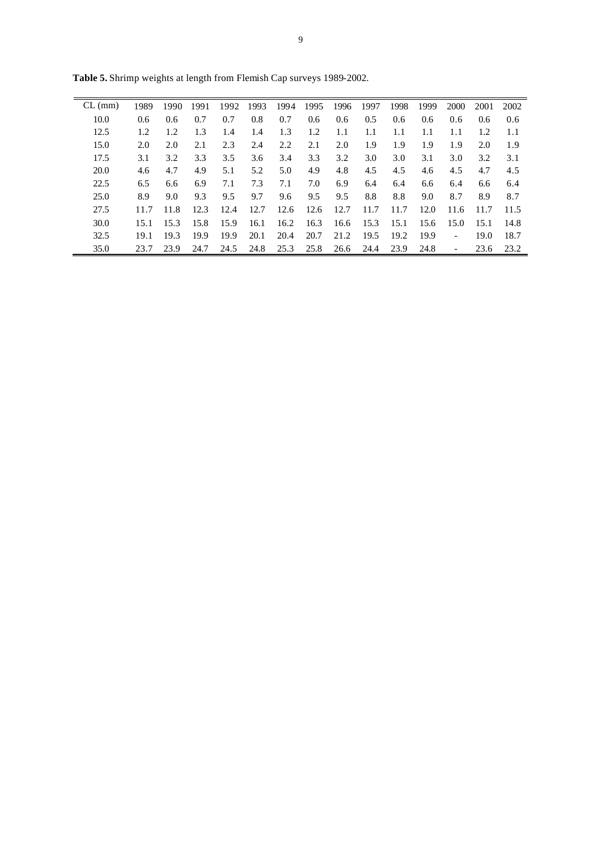| $CL$ (mm) | 1989 | 1990 | 1991 | 1992 | 1993 | 1994 | 1995 | 1996 | 1997 | 1998 | 1999 | 2000           | 2001 | 2002 |
|-----------|------|------|------|------|------|------|------|------|------|------|------|----------------|------|------|
| 10.0      | 0.6  | 0.6  | 0.7  | 0.7  | 0.8  | 0.7  | 0.6  | 0.6  | 0.5  | 0.6  | 0.6  | 0.6            | 0.6  | 0.6  |
| 12.5      | 1.2  | 1.2  | 1.3  | 1.4  | 1.4  | 1.3  | 1.2  | 1.1  | 1.1  | 1.1  | 1.1  | 1.1            | 1.2  | 1.1  |
| 15.0      | 2.0  | 2.0  | 2.1  | 2.3  | 2.4  | 2.2  | 2.1  | 2.0  | 1.9  | 1.9  | 1.9  | 1.9            | 2.0  | 1.9  |
| 17.5      | 3.1  | 3.2  | 3.3  | 3.5  | 3.6  | 3.4  | 3.3  | 3.2  | 3.0  | 3.0  | 3.1  | 3.0            | 3.2  | 3.1  |
| 20.0      | 4.6  | 4.7  | 4.9  | 5.1  | 5.2  | 5.0  | 4.9  | 4.8  | 4.5  | 4.5  | 4.6  | 4.5            | 4.7  | 4.5  |
| 22.5      | 6.5  | 6.6  | 6.9  | 7.1  | 7.3  | 7.1  | 7.0  | 6.9  | 6.4  | 6.4  | 6.6  | 6.4            | 6.6  | 6.4  |
| 25.0      | 8.9  | 9.0  | 9.3  | 9.5  | 9.7  | 9.6  | 9.5  | 9.5  | 8.8  | 8.8  | 9.0  | 8.7            | 8.9  | 8.7  |
| 27.5      | 11.7 | 11.8 | 12.3 | 12.4 | 12.7 | 12.6 | 12.6 | 12.7 | 11.7 | 11.7 | 12.0 | 11.6           | 11.7 | 11.5 |
| 30.0      | 15.1 | 15.3 | 15.8 | 15.9 | 16.1 | 16.2 | 16.3 | 16.6 | 15.3 | 15.1 | 15.6 | 15.0           | 15.1 | 14.8 |
| 32.5      | 19.1 | 19.3 | 19.9 | 19.9 | 20.1 | 20.4 | 20.7 | 21.2 | 19.5 | 19.2 | 19.9 | $\overline{a}$ | 19.0 | 18.7 |
| 35.0      | 23.7 | 23.9 | 24.7 | 24.5 | 24.8 | 25.3 | 25.8 | 26.6 | 24.4 | 23.9 | 24.8 |                | 23.6 | 23.2 |
|           |      |      |      |      |      |      |      |      |      |      |      |                |      |      |

**Table 5.** Shrimp weights at length from Flemish Cap surveys 1989-2002.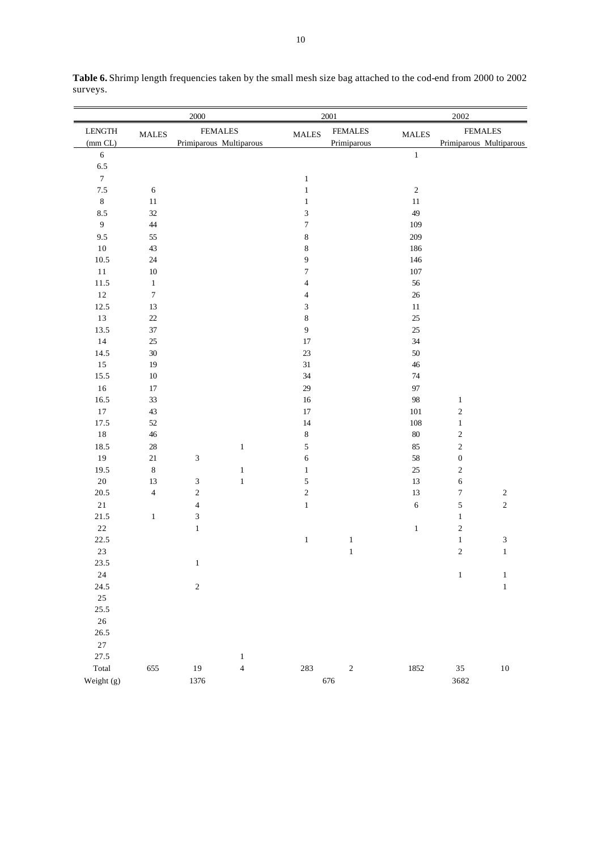|                  | 2000             |                             |                |                  | 2001           |              | 2002                    |                  |  |  |
|------------------|------------------|-----------------------------|----------------|------------------|----------------|--------------|-------------------------|------------------|--|--|
| ${\rm LENGTH}$   | <b>MALES</b>     | <b>FEMALES</b>              |                | <b>MALES</b>     | <b>FEMALES</b> | <b>MALES</b> | <b>FEMALES</b>          |                  |  |  |
| (mm CL)          |                  | Primiparous Multiparous     |                |                  | Primiparous    |              | Primiparous Multiparous |                  |  |  |
| $\sqrt{6}$       |                  |                             |                |                  |                | $\,1\,$      |                         |                  |  |  |
| 6.5              |                  |                             |                |                  |                |              |                         |                  |  |  |
| $\boldsymbol{7}$ |                  |                             |                | $\,1\,$          |                |              |                         |                  |  |  |
| $7.5\,$          | $\sqrt{6}$       |                             |                | $\,1$            |                | $\sqrt{2}$   |                         |                  |  |  |
| $\,8\,$          | $11\,$           |                             |                | $\mathbf{1}$     |                | $11\,$       |                         |                  |  |  |
| $8.5\,$          | 32               |                             |                | 3                |                | 49           |                         |                  |  |  |
| $\overline{9}$   | $44$             |                             |                | $\tau$           |                | 109          |                         |                  |  |  |
| 9.5              | 55               |                             |                | $\,$ $\,$        |                | 209          |                         |                  |  |  |
| 10               | 43               |                             |                | $\,$ 8 $\,$      |                | 186          |                         |                  |  |  |
| 10.5             | $24\,$           |                             |                | 9                |                | 146          |                         |                  |  |  |
| $11\,$           | $10\,$           |                             |                | $\boldsymbol{7}$ |                | 107          |                         |                  |  |  |
| 11.5             | $\,1$            |                             |                | $\overline{4}$   |                | 56           |                         |                  |  |  |
| $12\,$           | $\boldsymbol{7}$ |                             |                | $\overline{4}$   |                | $26\,$       |                         |                  |  |  |
| 12.5             | $13\,$           |                             |                | $\mathfrak{Z}$   |                | $11\,$       |                         |                  |  |  |
| 13               | $22\,$           |                             |                | $\,$ $\,$        |                | $25\,$       |                         |                  |  |  |
| 13.5             | $37\,$           |                             |                | $\overline{9}$   |                | 25           |                         |                  |  |  |
| $14$             | $25\,$           |                             |                | $17\,$           |                | 34           |                         |                  |  |  |
| 14.5             | $30\,$           |                             |                | 23               |                | 50           |                         |                  |  |  |
| $15\,$           | 19               |                             |                | 31               |                | $46\,$       |                         |                  |  |  |
| 15.5             | $10\,$           |                             |                | 34               |                | 74           |                         |                  |  |  |
| $16\,$           | 17               |                             |                | 29               |                | 97           |                         |                  |  |  |
| 16.5             | 33               |                             |                | $16\,$           |                | 98           | $\mathbf{1}$            |                  |  |  |
| $17\,$           | 43               |                             |                | $17\,$           |                | $101\,$      | $\sqrt{2}$              |                  |  |  |
| 17.5             | $52\,$           |                             |                | 14               |                | $108\,$      | $\mathbf{1}$            |                  |  |  |
| $1\,8$           | $46\,$           |                             |                | $\,$ $\,$        |                | $80\,$       | $\sqrt{2}$              |                  |  |  |
| 18.5             | $28\,$           |                             | $\mathbf{1}$   | 5                |                | 85           | $\sqrt{2}$              |                  |  |  |
| 19               | $21\,$           | $\ensuremath{\mathfrak{Z}}$ |                | 6                |                | 58           | $\boldsymbol{0}$        |                  |  |  |
| 19.5             | $\,8\,$          |                             | $\mathbf 1$    | $\,1$            |                | $25\,$       | $\sqrt{2}$              |                  |  |  |
| $20\,$           | 13               | $\sqrt{3}$                  | $\,1$          | 5                |                | 13           | $\sqrt{6}$              |                  |  |  |
| 20.5             | $\sqrt{4}$       | $\sqrt{2}$                  |                | $\sqrt{2}$       |                | 13           | $\boldsymbol{7}$        | $\boldsymbol{2}$ |  |  |
| 21               |                  | $\overline{4}$              |                | $\,1$            |                | $\sqrt{6}$   | $\sqrt{5}$              | $\overline{c}$   |  |  |
| 21.5             | $\mathbf{1}$     | $\sqrt{3}$                  |                |                  |                |              | $\mathbf{1}$            |                  |  |  |
| $2\sqrt{2}$      |                  | $\,1$                       |                |                  |                | $\mathbf{1}$ | $\sqrt{2}$              |                  |  |  |
| 22.5             |                  |                             |                | $\mathbf{1}$     | $\mathbf{1}$   |              | $\mathbf{1}$            | 3                |  |  |
| $23\,$           |                  |                             |                |                  | $\,1\,$        |              | $\sqrt{2}$              | $\mathbf 1$      |  |  |
| 23.5             |                  | $\,1\,$                     |                |                  |                |              |                         |                  |  |  |
| $24\,$           |                  |                             |                |                  |                |              | $\,1\,$                 | $\mathbf{1}$     |  |  |
| 24.5             |                  | $\sqrt{2}$                  |                |                  |                |              |                         | $\mathbf{1}$     |  |  |
| $25\,$           |                  |                             |                |                  |                |              |                         |                  |  |  |
| 25.5             |                  |                             |                |                  |                |              |                         |                  |  |  |
| $26\,$           |                  |                             |                |                  |                |              |                         |                  |  |  |
| 26.5             |                  |                             |                |                  |                |              |                         |                  |  |  |
| $27\,$           |                  |                             |                |                  |                |              |                         |                  |  |  |
| 27.5             |                  |                             | $\mathbf{1}$   |                  |                |              |                         |                  |  |  |
| Total            | 655              | 19                          | $\overline{4}$ | 283              | $\sqrt{2}$     | 1852         | 35                      | $10\,$           |  |  |
| Weight (g)       |                  | 1376                        |                |                  | 676            |              | 3682                    |                  |  |  |

**Table 6.** Shrimp length frequencies taken by the small mesh size bag attached to the cod-end from 2000 to 2002 surveys.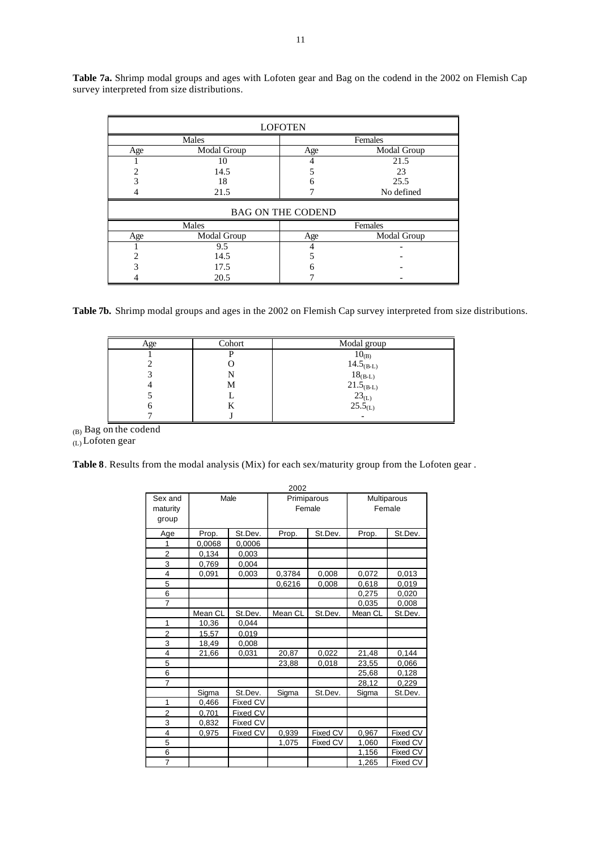|     | <b>LOFOTEN</b> |                          |             |  |  |  |  |  |  |  |  |
|-----|----------------|--------------------------|-------------|--|--|--|--|--|--|--|--|
|     | Males          | Females                  |             |  |  |  |  |  |  |  |  |
| Age | Modal Group    | Age                      | Modal Group |  |  |  |  |  |  |  |  |
|     | 10             |                          | 21.5        |  |  |  |  |  |  |  |  |
|     | 14.5           |                          | 23          |  |  |  |  |  |  |  |  |
|     | 18             | 6                        | 25.5        |  |  |  |  |  |  |  |  |
|     | 21.5           |                          | No defined  |  |  |  |  |  |  |  |  |
|     |                | <b>BAG ON THE CODEND</b> |             |  |  |  |  |  |  |  |  |
|     | Males          |                          | Females     |  |  |  |  |  |  |  |  |
| Age | Modal Group    | Age                      | Modal Group |  |  |  |  |  |  |  |  |
|     | 9.5            |                          |             |  |  |  |  |  |  |  |  |
|     | 14.5           |                          |             |  |  |  |  |  |  |  |  |
|     | 17.5           | h                        |             |  |  |  |  |  |  |  |  |
|     | 20.5           |                          |             |  |  |  |  |  |  |  |  |

**Table 7a.** Shrimp modal groups and ages with Lofoten gear and Bag on the codend in the 2002 on Flemish Cap survey interpreted from size distributions.

**Table 7b.** Shrimp modal groups and ages in the 2002 on Flemish Cap survey interpreted from size distributions.

| Age | Cohort | Modal group                                                                     |
|-----|--------|---------------------------------------------------------------------------------|
|     |        | $10_{(B)}$                                                                      |
|     |        |                                                                                 |
|     |        | $14.5_{(B-L)}$<br>$18_{(B-L)}$                                                  |
|     | М      |                                                                                 |
|     |        | $\begin{array}{c} 21.5_{\rm (B-L)}\\ 23_{\rm (L)}\\ 25.5_{\rm (L)} \end{array}$ |
|     |        |                                                                                 |
|     |        |                                                                                 |

(B) Bag on the codend (L) Lofoten gear

**Table 8**. Results from the modal analysis (Mix) for each sex/maturity group from the Lofoten gear .

|                         |                  |          | 2002        |          |         |                    |  |
|-------------------------|------------------|----------|-------------|----------|---------|--------------------|--|
| Sex and                 |                  | Male     | Primiparous |          |         | <b>Multiparous</b> |  |
| maturity                |                  |          | Female      |          | Female  |                    |  |
| group                   |                  |          |             |          |         |                    |  |
| Age                     | St.Dev.<br>Prop. |          | Prop.       | St.Dev.  | Prop.   | St.Dev.            |  |
| 1                       | 0,0068           | 0,0006   |             |          |         |                    |  |
| $\overline{2}$          | 0,134            | 0,003    |             |          |         |                    |  |
| 3                       | 0,769            | 0,004    |             |          |         |                    |  |
| 4                       | 0,091            | 0,003    | 0,3784      | 0,008    | 0,072   | 0,013              |  |
| 5                       |                  |          | 0,6216      | 0,008    | 0,618   | 0,019              |  |
| 6                       |                  |          |             |          | 0,275   | 0,020              |  |
| $\overline{7}$          |                  |          |             |          | 0,035   | 0,008              |  |
|                         | Mean CL          | St.Dev.  | Mean CL     | St.Dev.  | Mean CL | St.Dev.            |  |
| 1                       | 10,36            | 0,044    |             |          |         |                    |  |
| $\overline{2}$          | 15.57            | 0,019    |             |          |         |                    |  |
| 3                       | 18,49            | 0,008    |             |          |         |                    |  |
| 4                       | 21,66            | 0,031    | 20,87       | 0,022    | 21,48   | 0,144              |  |
| 5                       |                  |          | 23,88       | 0,018    | 23,55   | 0,066              |  |
| 6                       |                  |          |             |          | 25,68   | 0,128              |  |
| $\overline{7}$          |                  |          |             |          | 28,12   | 0,229              |  |
|                         | Sigma            | St.Dev.  | Sigma       | St.Dev.  | Sigma   | St.Dev.            |  |
| 1                       | 0,466            | Fixed CV |             |          |         |                    |  |
| $\overline{2}$          | 0.701            | Fixed CV |             |          |         |                    |  |
| 3                       | 0,832            | Fixed CV |             |          |         |                    |  |
| $\overline{\mathbf{4}}$ | 0,975            | Fixed CV | 0,939       | Fixed CV | 0,967   | Fixed CV           |  |
| 5                       |                  |          | 1,075       | Fixed CV | 1,060   | Fixed CV           |  |
| 6                       |                  |          |             |          | 1,156   | Fixed CV           |  |
| 7                       |                  |          |             |          | 1,265   | <b>Fixed CV</b>    |  |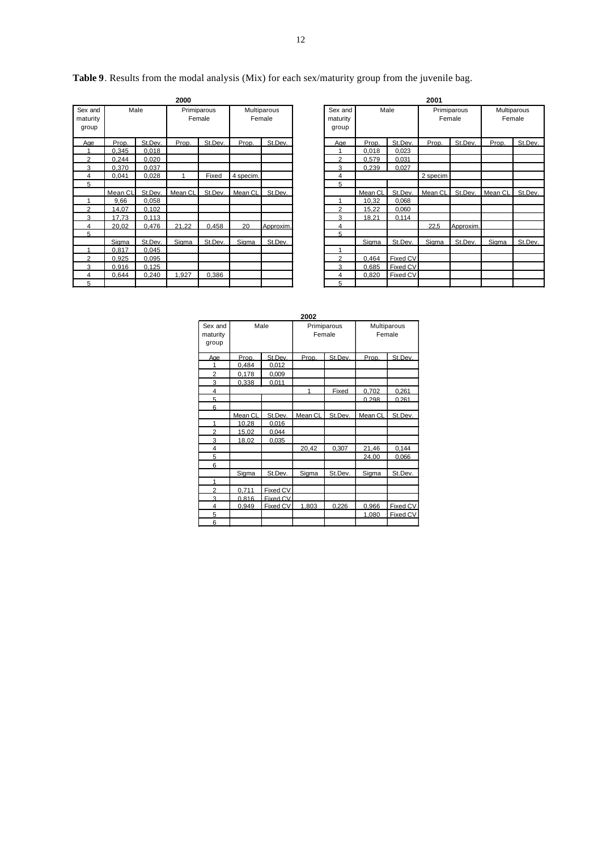**Table 9**. Results from the modal analysis (Mix) for each sex/maturity group from the juvenile bag.

|                              |         |         | 2000    |                       |           |                       |                              | 2001    |          |                       |           |  |
|------------------------------|---------|---------|---------|-----------------------|-----------|-----------------------|------------------------------|---------|----------|-----------------------|-----------|--|
| Sex and<br>maturity<br>group | Male    |         |         | Primiparous<br>Female |           | Multiparous<br>Female | Sex and<br>maturity<br>group |         | Male     | Primiparous<br>Female |           |  |
| Age                          | Prop.   | St.Dev. | Prop.   | St.Dev.               | Prop.     | St.Dev.               | Age                          | Prop.   | St.Dev.  | Prop.                 | St.Dev.   |  |
|                              | 0,345   | 0,018   |         |                       |           |                       | 1                            | 0,018   | 0,023    |                       |           |  |
| 2                            | 0,244   | 0.020   |         |                       |           |                       | 2                            | 0,579   | 0,031    |                       |           |  |
| 3                            | 0,370   | 0,037   |         |                       |           |                       | 3                            | 0,239   | 0,027    |                       |           |  |
| 4                            | 0,041   | 0,028   |         | Fixed                 | 4 specim. |                       | 4                            |         |          | 2 specim              |           |  |
| 5                            |         |         |         |                       |           |                       | 5                            |         |          |                       |           |  |
|                              | Mean CL | St.Dev. | Mean CL | St.Dev.               | Mean CL   | St.Dev.               |                              | Mean CL | St.Dev.  | Mean CL               | St.Dev.   |  |
|                              | 9,66    | 0,058   |         |                       |           |                       | 1                            | 10,32   | 0,068    |                       |           |  |
| 2                            | 14,07   | 0.102   |         |                       |           |                       | 2                            | 15,22   | 0.060    |                       |           |  |
| 3                            | 17.73   | 0.113   |         |                       |           |                       | 3                            | 18.21   | 0,114    |                       |           |  |
| 4                            | 20.02   | 0,476   | 21,22   | 0.458                 | 20        | Approxim.             | 4                            |         |          | 22.5                  | Approxim. |  |
| 5                            |         |         |         |                       |           |                       | 5                            |         |          |                       |           |  |
|                              | Sigma   | St.Dev. | Sigma   | St.Dev.               | Sigma     | St.Dev.               |                              | Sigma   | St.Dev.  | Sigma                 | St.Dev.   |  |
|                              | 0.817   | 0.045   |         |                       |           |                       | 1                            |         |          |                       |           |  |
| C                            | 0.925   | 0.095   |         |                       |           |                       | 2                            | 0.464   | Fixed CV |                       |           |  |
| 3                            | 0.916   | 0,125   |         |                       |           |                       | 3                            | 0.685   | Fixed CV |                       |           |  |
| 4                            | 0.644   | 0,240   | 1,927   | 0.386                 |           |                       | 4                            | 0.820   | Fixed CV |                       |           |  |
| 5                            |         |         |         |                       |           |                       | 5                            |         |          |                       |           |  |

|                           |         |         | 2000                  |         |                       |           | 2001                         |         |          |                       |           |                       |         |  |  |
|---------------------------|---------|---------|-----------------------|---------|-----------------------|-----------|------------------------------|---------|----------|-----------------------|-----------|-----------------------|---------|--|--|
| x and<br>aturity<br>jroup | Male    |         | Primiparous<br>Female |         | Multiparous<br>Female |           | Sex and<br>maturity<br>group |         | Male     | Primiparous<br>Female |           | Multiparous<br>Female |         |  |  |
| Age                       | Prop.   | St.Dev. | Prop.                 | St.Dev. | Prop.                 | St.Dev.   | Age                          | Prop.   | St.Dev.  | Prop.                 | St.Dev.   | Prop.                 | St.Dev. |  |  |
|                           | 0,345   | 0,018   |                       |         |                       |           |                              | 0,018   | 0,023    |                       |           |                       |         |  |  |
| $\overline{2}$            | 0,244   | 0,020   |                       |         |                       |           | $\overline{2}$               | 0,579   | 0,031    |                       |           |                       |         |  |  |
| 3                         | 0,370   | 0,037   |                       |         |                       |           | 3                            | 0,239   | 0,027    |                       |           |                       |         |  |  |
| 4                         | 0.041   | 0,028   |                       | Fixed   | 4 specim.             |           | 4                            |         |          | 2 specim              |           |                       |         |  |  |
| $5\overline{)}$           |         |         |                       |         |                       |           | 5                            |         |          |                       |           |                       |         |  |  |
|                           | Mean CL | St.Dev. | Mean CL               | St.Dev. | Mean CL               | St.Dev.   |                              | Mean CL | St.Dev.  | Mean CL               | St.Dev.   | Mean CL               | St.Dev. |  |  |
| $\overline{1}$            | 9,66    | 0,058   |                       |         |                       |           |                              | 10,32   | 0.068    |                       |           |                       |         |  |  |
| 2                         | 14,07   | 0,102   |                       |         |                       |           | 2                            | 15,22   | 0.060    |                       |           |                       |         |  |  |
| $\overline{3}$            | 17.73   | 0.113   |                       |         |                       |           | 3                            | 18.21   | 0.114    |                       |           |                       |         |  |  |
| $\overline{4}$            | 20.02   | 0.476   | 21.22                 | 0.458   | 20                    | Approxim. | 4                            |         |          | 22.5                  | Approxim. |                       |         |  |  |
| $-5$                      |         |         |                       |         |                       |           | 5                            |         |          |                       |           |                       |         |  |  |
|                           | Siama   | St.Dev. | Sigma                 | St.Dev. | Siama                 | St.Dev.   |                              | Sigma   | St.Dev.  | Siama                 | St.Dev.   | Sigma                 | St.Dev. |  |  |
|                           | 0.817   | 0.045   |                       |         |                       |           |                              |         |          |                       |           |                       |         |  |  |
| $\overline{2}$            | 0.925   | 0.095   |                       |         |                       |           | 2                            | 0.464   | Fixed CV |                       |           |                       |         |  |  |
| $\overline{3}$            | 0.916   | 0,125   |                       |         |                       |           | 3                            | 0,685   | Fixed CV |                       |           |                       |         |  |  |
| $\overline{4}$            | 0.644   | 0,240   | 1,927                 | 0.386   |                       |           | 4                            | 0,820   | Fixed CV |                       |           |                       |         |  |  |
| 5                         |         |         |                       |         |                       |           | 5                            |         |          |                       |           |                       |         |  |  |

| Sex and<br>maturity<br>group |         | Male     |         | Primiparous<br>Female | Multiparous<br>Female |          |  |  |
|------------------------------|---------|----------|---------|-----------------------|-----------------------|----------|--|--|
| Age                          | Prop.   | St Dev   | Prop.   | St Dev                | Prop.                 | St.Dev   |  |  |
|                              | 0.484   | 0,012    |         |                       |                       |          |  |  |
| $\overline{2}$               | 0.178   | 0,009    |         |                       |                       |          |  |  |
| 3                            | 0.338   | 0,011    |         |                       |                       |          |  |  |
| 4                            |         |          | 1       | Fixed                 | 0.702                 | 0.261    |  |  |
| 5                            |         |          |         |                       | 0.298                 | 0.261    |  |  |
| 6                            |         |          |         |                       |                       |          |  |  |
|                              | Mean CL | St.Dev.  | Mean CL | St.Dev.               | Mean CL               | St.Dev.  |  |  |
| 1                            | 10,28   | 0.016    |         |                       |                       |          |  |  |
| $\overline{2}$               | 15,02   | 0,044    |         |                       |                       |          |  |  |
| 3                            | 18,02   | 0.035    |         |                       |                       |          |  |  |
| $\overline{4}$               |         |          | 20,42   | 0,307                 | 21,46                 | 0.144    |  |  |
| 5                            |         |          |         |                       | 24,00                 | 0.066    |  |  |
| 6                            |         |          |         |                       |                       |          |  |  |
|                              | Sigma   | St.Dev.  | Sigma   | St.Dev.               | Sigma                 | St.Dev.  |  |  |
| 1                            |         |          |         |                       |                       |          |  |  |
| $\overline{2}$               | 0,711   | Fixed CV |         |                       |                       |          |  |  |
| 3                            | 0.816   | Fixed CV |         |                       |                       |          |  |  |
| 4                            | 0,949   | Fixed CV | 1,803   | 0,226                 | 0,966                 | Fixed CV |  |  |
| 5                            |         |          |         |                       | 1,080                 | Fixed CV |  |  |
| 6                            |         |          |         |                       |                       |          |  |  |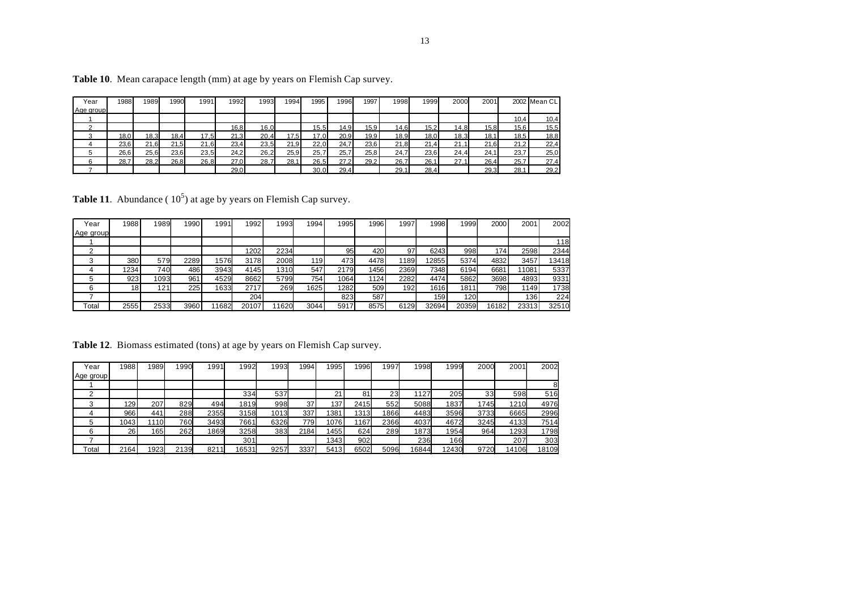| Year      | 1988 | 1989 | 1990 | 1991 | 1992 | 1993 | 1994 | 1995 | 1996 | 1997 | 1998 | 1999 | 2000 | 2001 |       | 2002 Mean CL |
|-----------|------|------|------|------|------|------|------|------|------|------|------|------|------|------|-------|--------------|
| Age group |      |      |      |      |      |      |      |      |      |      |      |      |      |      |       |              |
|           |      |      |      |      |      |      |      |      |      |      |      |      |      |      | 10,4  | 10,4         |
|           |      |      |      |      | 16,8 | 16,0 |      | 15,5 | 14,9 | 15,9 | 14,6 | 15,2 | 14,8 | 15,8 | 15,6  | 15,5         |
|           | 18,0 | 18,3 | 18,4 | 17,5 | 21,3 | 20,4 | 17,5 | 17,0 | 20,9 | 19,9 | 18,9 | 18,0 | 18,3 | 18,1 | 18.5. | 18,8         |
|           | 23,6 | 21.6 | 21,5 | 21,6 | 23,4 | 23,5 | 21,9 | 22,0 | 24.7 | 23,6 | 21,8 | 21,4 | 21.1 | 21,6 | 21,2  | 22,4         |
|           | 26,6 | 25,6 | 23,6 | 23,5 | 24,2 | 26,2 | 25,9 | 25,7 | 25,7 | 25,8 | 24,7 | 23,6 | 24.4 | 24.1 | 23,7  | 25,0         |
|           | 28.7 | 28.2 | 26.8 | 26,8 | 27.0 | 28.7 | 28.1 | 26,5 | 27.2 | 29.2 | 26,7 | 26.1 | 27.1 | 26,4 | 25.7  | 27,4         |
|           |      |      |      |      | 29.0 |      |      | 30.0 | 29.4 |      | 29,1 | 28.4 |      | 29.3 | 28.7  | 29,2         |

**Table 10**. Mean carapace length (mm) at age by years on Flemish Cap survey.

**Table 11**. Abundance ( $10<sup>5</sup>$ ) at age by years on Flemish Cap survey.

| Year      | 1988 | 1989 | 1990 | 1991  | 1992  | 1993 | 1994 | 1995 | 1996 | 1997 | 1998             | 1999  | 2000             | 2001  | 2002  |
|-----------|------|------|------|-------|-------|------|------|------|------|------|------------------|-------|------------------|-------|-------|
| Age group |      |      |      |       |       |      |      |      |      |      |                  |       |                  |       |       |
|           |      |      |      |       |       |      |      |      |      |      |                  |       |                  |       | 118   |
|           |      |      |      |       | 1202  | 2234 |      | 95   | 420  | 97   | 6243             | 998   | 174 <sub>1</sub> | 2598  | 2344  |
|           | 380  | 579  | 2289 | 1576  | 3178  | 2008 | 119  | 473  | 4478 | 1189 | 12855            | 5374  | 4832             | 3457  | 13418 |
|           | 1234 | 740  | 486  | 3943  | 4145  | 1310 | 547  | 2179 | 1456 | 2369 | 7348             | 6194  | 6681             | 11081 | 5337  |
|           | 923  | 1093 | 961  | 4529  | 8662  | 5799 | 754  | 1064 | 1124 | 2282 | 4474             | 5862  | 3698             | 4893  | 9331  |
|           | 18   | 121  | 225  | 1633  | 2717  | 269  | 1625 | 1282 | 509  | 192  | 1616             | 1811  | 798              | 1149  | 1738  |
|           |      |      |      |       | 204   |      |      | 823  | 587  |      | 159 <sup>1</sup> | 120   |                  | 136   | 224   |
| Total     | 2555 | 2533 | 3960 | 11682 | 20107 | 1620 | 3044 | 5917 | 8575 | 6129 | 32694            | 20359 | 16182            | 23313 | 32510 |

Table 12. Biomass estimated (tons) at age by years on Flemish Cap survey.

| Year      | 1988 | 1989 | 1990 | 1991      | 1992  | 1993 | 1994 | 1995 | 1996 | 1997 | 1998  | 1999  | 2000 | 2001  | 2002  |
|-----------|------|------|------|-----------|-------|------|------|------|------|------|-------|-------|------|-------|-------|
| Age group |      |      |      |           |       |      |      |      |      |      |       |       |      |       |       |
|           |      |      |      |           |       |      |      |      |      |      |       |       |      |       |       |
|           |      |      |      |           | 334   | 537  |      | 21   | 81   | 23   | 1127  | 205   | 33   | 598   | 516   |
|           | 129  | 207  | 829  | 494       | 1819  | 998  | 37   | 137  | 2415 | 552  | 5088  | 1837  | 1745 | 1210  | 4976  |
|           | 966  | 441  | 288  | 2355      | 3158  | 1013 | 337  | 381  | 1313 | 1866 | 4483  | 3596  | 3733 | 6665  | 2996  |
|           | 1043 | 1110 | 760  | 3493      | 7661  | 6326 | 779  | 1076 | 167  | 2366 | 4037  | 4672  | 3245 | 4133  | 7514  |
|           | 26   | 165  | 262  | 1869      | 3258  | 383  | 2184 | 1455 | 624  | 289  | 1873  | 1954  | 964  | 1293  | 1798  |
|           |      |      |      |           | 301   |      |      | 1343 | 902  |      | 236   | 166   |      | 207   | 303   |
| Total     | 2164 | 1923 | 2139 | 821<br>11 | 16531 | 9257 | 3337 | 5413 | 6502 | 5096 | 16844 | 12430 | 9720 | 14106 | 18109 |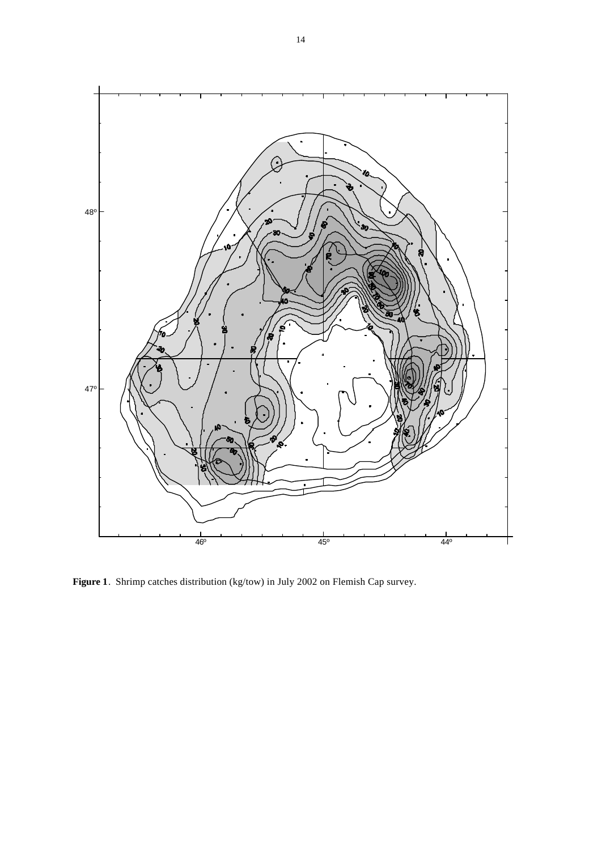

Figure 1. Shrimp catches distribution (kg/tow) in July 2002 on Flemish Cap survey.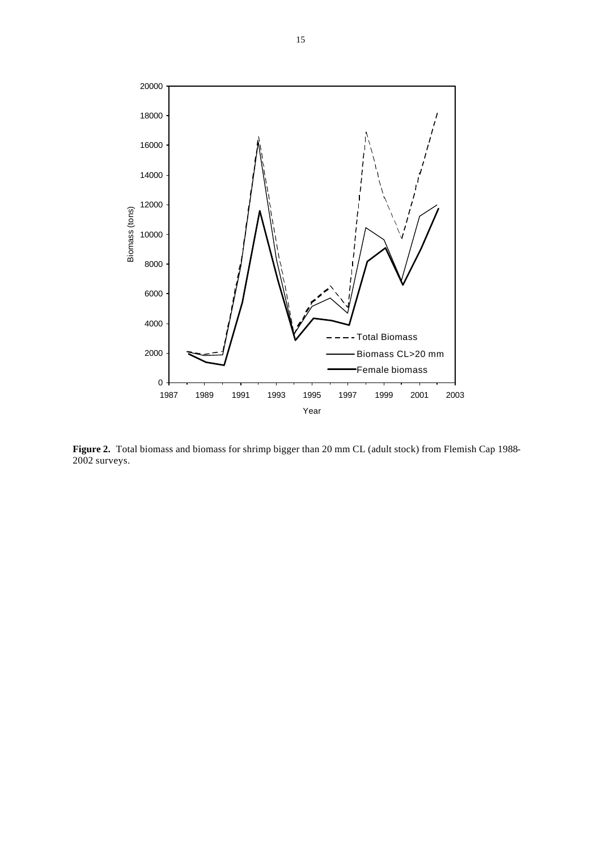

Figure 2. Total biomass and biomass for shrimp bigger than 20 mm CL (adult stock) from Flemish Cap 1988-2002 surveys.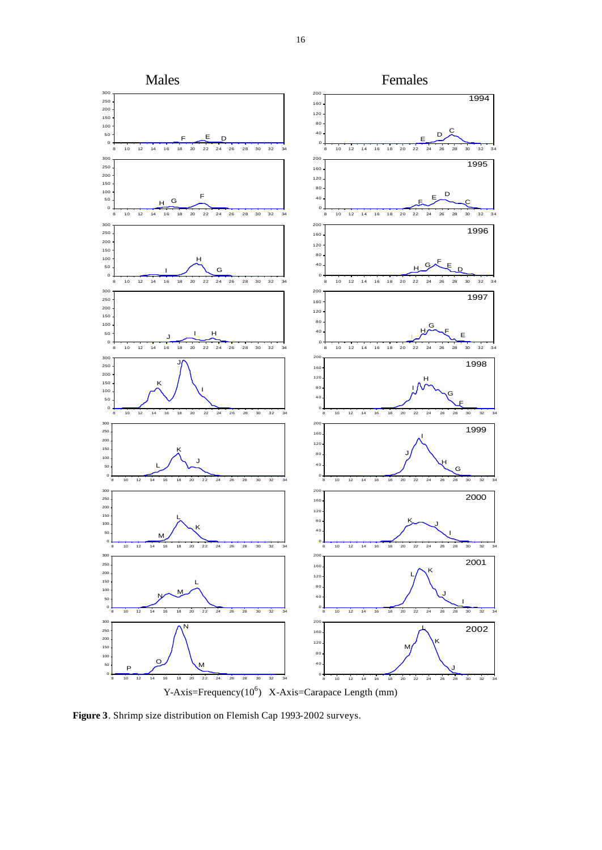

**Figure 3**. Shrimp size distribution on Flemish Cap 1993-2002 surveys.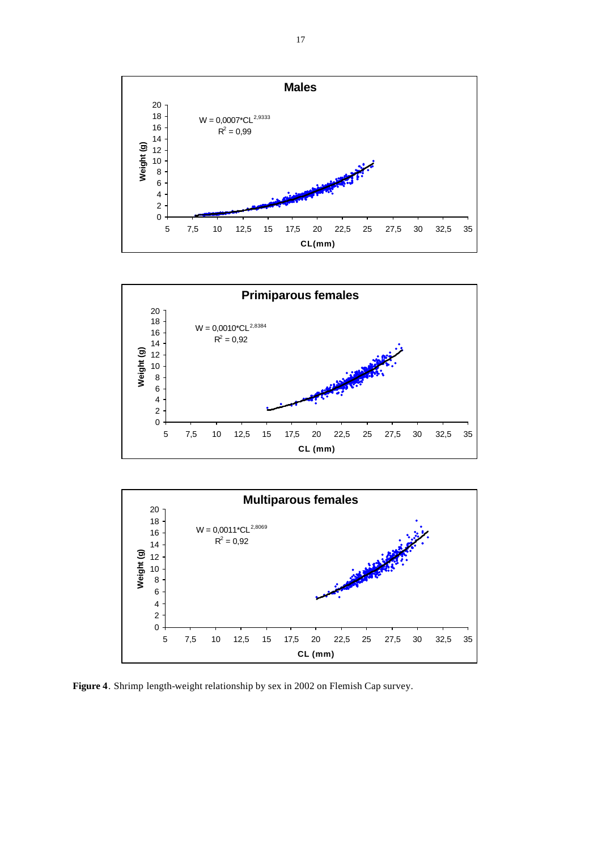





**Figure 4**. Shrimp length-weight relationship by sex in 2002 on Flemish Cap survey.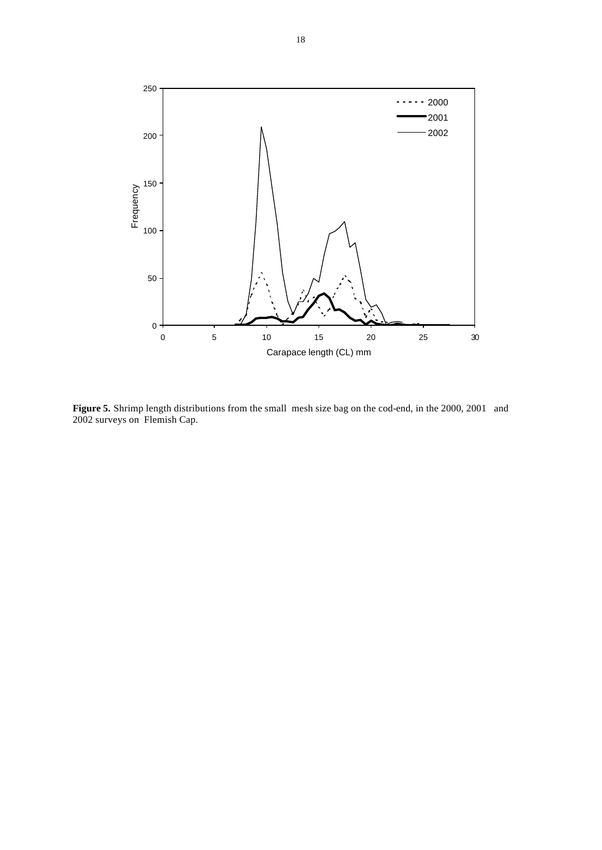

**Figure 5.** Shrimp length distributions from the small mesh size bag on the cod-end, in the 2000, 2001 and 2002 surveys on Flemish Cap.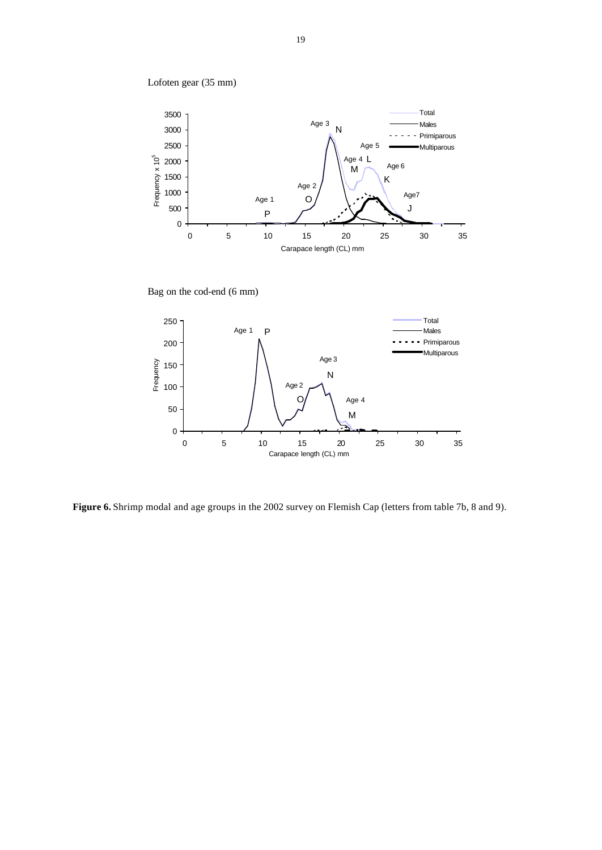



Bag on the cod-end (6 mm)



**Figure 6.** Shrimp modal and age groups in the 2002 survey on Flemish Cap (letters from table 7b, 8 and 9).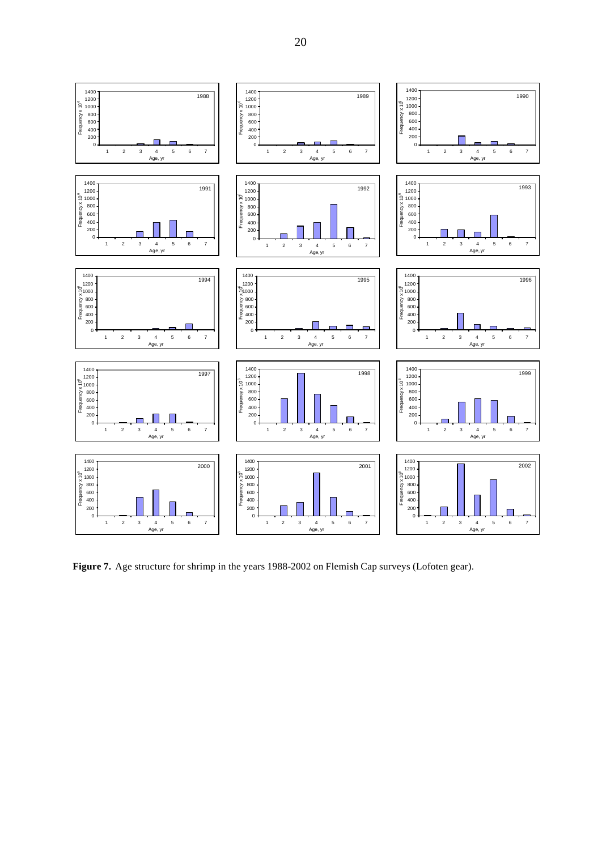

**Figure 7.** Age structure for shrimp in the years 1988-2002 on Flemish Cap surveys (Lofoten gear).